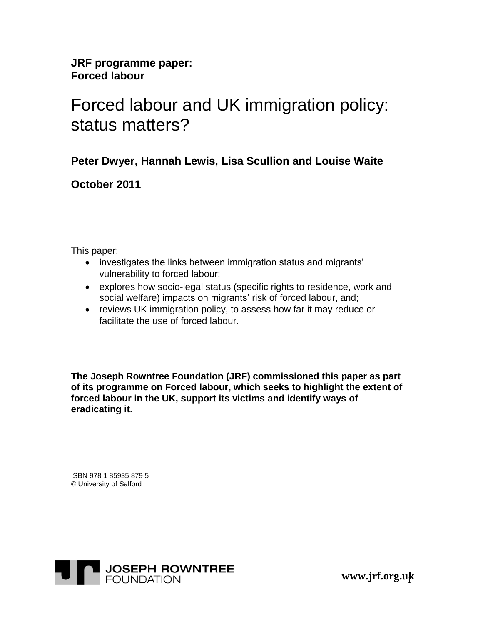**JRF programme paper: Forced labour**

# Forced labour and UK immigration policy: status matters?

**Peter Dwyer, Hannah Lewis, Lisa Scullion and Louise Waite**

**October 2011**

This paper:

- investigates the links between immigration status and migrants' vulnerability to forced labour;
- explores how socio-legal status (specific rights to residence, work and social welfare) impacts on migrants' risk of forced labour, and;
- reviews UK immigration policy, to assess how far it may reduce or facilitate the use of forced labour.

**The Joseph Rowntree Foundation (JRF) commissioned this paper as part of its programme on Forced labour, which seeks to highlight the extent of forced labour in the UK, support its victims and identify ways of eradicating it.**

ISBN 978 1 85935 879 5 © University of Salford



1 **www.jrf.org.uk**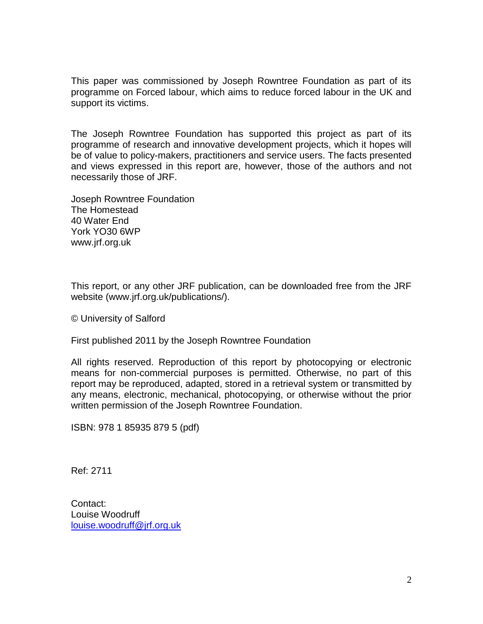This paper was commissioned by Joseph Rowntree Foundation as part of its programme on Forced labour, which aims to reduce forced labour in the UK and support its victims.

The Joseph Rowntree Foundation has supported this project as part of its programme of research and innovative development projects, which it hopes will be of value to policy-makers, practitioners and service users. The facts presented and views expressed in this report are, however, those of the authors and not necessarily those of JRF.

Joseph Rowntree Foundation The Homestead 40 Water End York YO30 6WP www.jrf.org.uk

This report, or any other JRF publication, can be downloaded free from the JRF website (www.jrf.org.uk/publications/).

© University of Salford

First published 2011 by the Joseph Rowntree Foundation

All rights reserved. Reproduction of this report by photocopying or electronic means for non-commercial purposes is permitted. Otherwise, no part of this report may be reproduced, adapted, stored in a retrieval system or transmitted by any means, electronic, mechanical, photocopying, or otherwise without the prior written permission of the Joseph Rowntree Foundation.

ISBN: 978 1 85935 879 5 (pdf)

Ref: 2711

Contact: Louise Woodruff [louise.woodruff@jrf.org.uk](mailto:louise.woodruff@jrf.org.uk)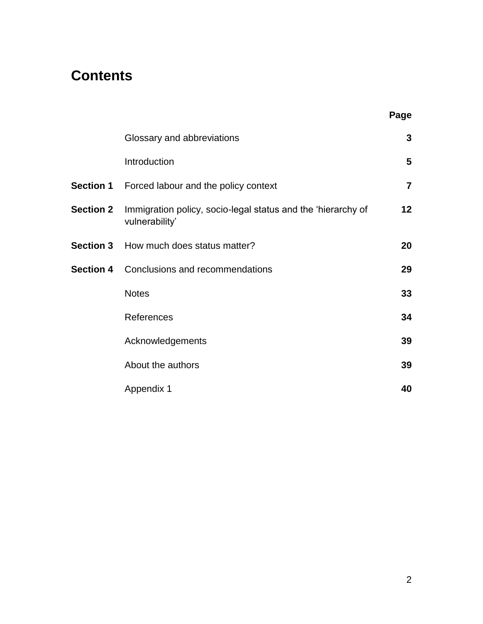## **Contents**

|                  |                                                                                | Page            |
|------------------|--------------------------------------------------------------------------------|-----------------|
|                  | Glossary and abbreviations                                                     | 3               |
|                  | Introduction                                                                   | 5               |
|                  | Section 1 Forced labour and the policy context                                 | $\overline{7}$  |
| <b>Section 2</b> | Immigration policy, socio-legal status and the 'hierarchy of<br>vulnerability' | 12 <sub>2</sub> |
|                  | Section 3 How much does status matter?                                         | 20              |
|                  | <b>Section 4</b> Conclusions and recommendations                               | 29              |
|                  | <b>Notes</b>                                                                   | 33              |
|                  | References                                                                     | 34              |
|                  | Acknowledgements                                                               | 39              |
|                  | About the authors                                                              | 39              |
|                  | Appendix 1                                                                     | 40              |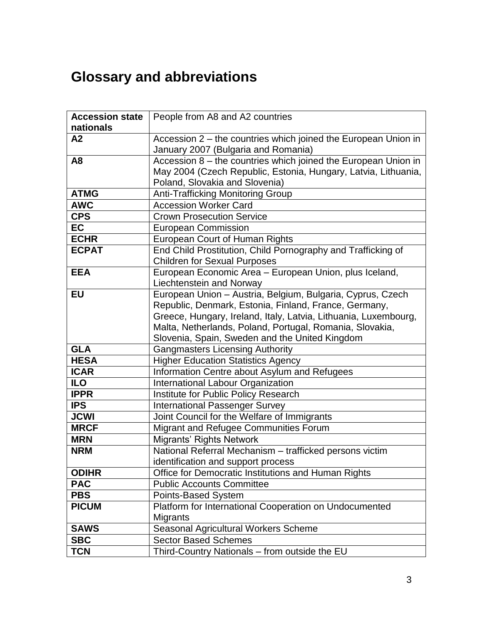# **Glossary and abbreviations**

| <b>Accession state</b> | People from A8 and A2 countries                                 |  |  |
|------------------------|-----------------------------------------------------------------|--|--|
| nationals              |                                                                 |  |  |
| A2                     | Accession 2 – the countries which joined the European Union in  |  |  |
|                        | January 2007 (Bulgaria and Romania)                             |  |  |
| A <sub>8</sub>         | Accession 8 - the countries which joined the European Union in  |  |  |
|                        | May 2004 (Czech Republic, Estonia, Hungary, Latvia, Lithuania,  |  |  |
|                        | Poland, Slovakia and Slovenia)                                  |  |  |
| <b>ATMG</b>            | Anti-Trafficking Monitoring Group                               |  |  |
| <b>AWC</b>             | <b>Accession Worker Card</b>                                    |  |  |
| <b>CPS</b>             | <b>Crown Prosecution Service</b>                                |  |  |
| <b>EC</b>              | <b>European Commission</b>                                      |  |  |
| <b>ECHR</b>            | European Court of Human Rights                                  |  |  |
| <b>ECPAT</b>           | End Child Prostitution, Child Pornography and Trafficking of    |  |  |
|                        | <b>Children for Sexual Purposes</b>                             |  |  |
| <b>EEA</b>             | European Economic Area - European Union, plus Iceland,          |  |  |
|                        | Liechtenstein and Norway                                        |  |  |
| <b>EU</b>              | European Union - Austria, Belgium, Bulgaria, Cyprus, Czech      |  |  |
|                        | Republic, Denmark, Estonia, Finland, France, Germany,           |  |  |
|                        | Greece, Hungary, Ireland, Italy, Latvia, Lithuania, Luxembourg, |  |  |
|                        | Malta, Netherlands, Poland, Portugal, Romania, Slovakia,        |  |  |
|                        | Slovenia, Spain, Sweden and the United Kingdom                  |  |  |
| <b>GLA</b>             | <b>Gangmasters Licensing Authority</b>                          |  |  |
| <b>HESA</b>            | <b>Higher Education Statistics Agency</b>                       |  |  |
| <b>ICAR</b>            | Information Centre about Asylum and Refugees                    |  |  |
| <b>ILO</b>             | International Labour Organization                               |  |  |
| <b>IPPR</b>            | Institute for Public Policy Research                            |  |  |
| <b>IPS</b>             | <b>International Passenger Survey</b>                           |  |  |
| <b>JCWI</b>            | Joint Council for the Welfare of Immigrants                     |  |  |
| <b>MRCF</b>            | Migrant and Refugee Communities Forum                           |  |  |
| <b>MRN</b>             | <b>Migrants' Rights Network</b>                                 |  |  |
| <b>NRM</b>             | National Referral Mechanism - trafficked persons victim         |  |  |
|                        | identification and support process                              |  |  |
| <b>ODIHR</b>           | Office for Democratic Institutions and Human Rights             |  |  |
| <b>PAC</b>             | <b>Public Accounts Committee</b>                                |  |  |
| <b>PBS</b>             | Points-Based System                                             |  |  |
| <b>PICUM</b>           | Platform for International Cooperation on Undocumented          |  |  |
|                        | Migrants                                                        |  |  |
| <b>SAWS</b>            | Seasonal Agricultural Workers Scheme                            |  |  |
| <b>SBC</b>             | <b>Sector Based Schemes</b>                                     |  |  |
| <b>TCN</b>             | Third-Country Nationals - from outside the EU                   |  |  |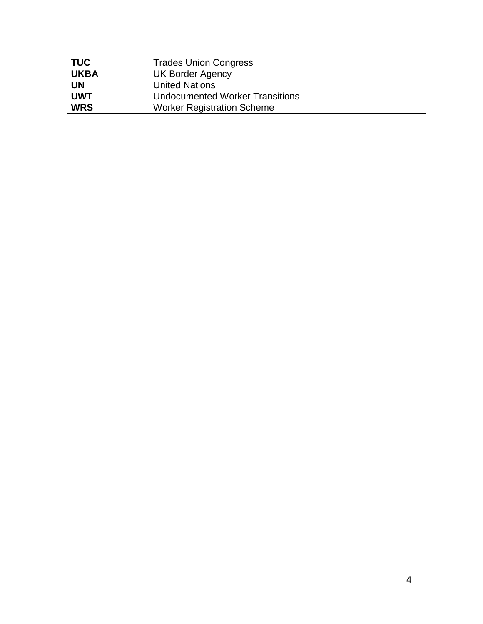| <b>TUC</b>  | <b>Trades Union Congress</b>      |  |  |
|-------------|-----------------------------------|--|--|
| <b>UKBA</b> | <b>UK Border Agency</b>           |  |  |
| <b>UN</b>   | <b>United Nations</b>             |  |  |
| <b>UWT</b>  | Undocumented Worker Transitions   |  |  |
| <b>WRS</b>  | <b>Worker Registration Scheme</b> |  |  |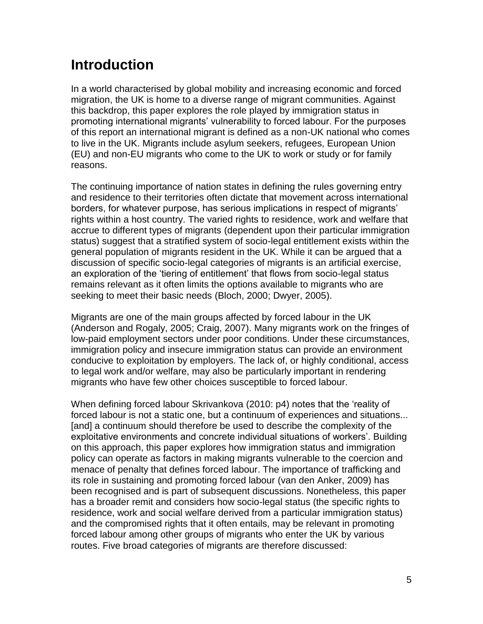## **Introduction**

In a world characterised by global mobility and increasing economic and forced migration, the UK is home to a diverse range of migrant communities. Against this backdrop, this paper explores the role played by immigration status in promoting international migrants' vulnerability to forced labour. For the purposes of this report an international migrant is defined as a non-UK national who comes to live in the UK. Migrants include asylum seekers, refugees, European Union (EU) and non-EU migrants who come to the UK to work or study or for family reasons.

The continuing importance of nation states in defining the rules governing entry and residence to their territories often dictate that movement across international borders, for whatever purpose, has serious implications in respect of migrants' rights within a host country. The varied rights to residence, work and welfare that accrue to different types of migrants (dependent upon their particular immigration status) suggest that a stratified system of socio-legal entitlement exists within the general population of migrants resident in the UK. While it can be argued that a discussion of specific socio-legal categories of migrants is an artificial exercise, an exploration of the 'tiering of entitlement' that flows from socio-legal status remains relevant as it often limits the options available to migrants who are seeking to meet their basic needs [\(Bloch, 2000;](#page-34-0) [Dwyer, 2005\)](#page-35-0).

Migrants are one of the main groups affected by forced labour in the UK [\(Anderson and Rogaly, 2005;](#page-34-1) [Craig, 2007\)](#page-35-1). Many migrants work on the fringes of low-paid employment sectors under poor conditions. Under these circumstances, immigration policy and insecure immigration status can provide an environment conducive to exploitation by employers. The lack of, or highly conditional, access to legal work and/or welfare, may also be particularly important in rendering migrants who have few other choices susceptible to forced labour.

When defining forced labour Skrivankova [\(2010: p4\)](#page-38-0) notes that the 'reality of forced labour is not a static one, but a continuum of experiences and situations... [and] a continuum should therefore be used to describe the complexity of the exploitative environments and concrete individual situations of workers'. Building on this approach, this paper explores how immigration status and immigration policy can operate as factors in making migrants vulnerable to the coercion and menace of penalty that defines forced labour. The importance of trafficking and its role in sustaining and promoting forced labour [\(van den Anker, 2009\)](#page-38-1) has been recognised and is part of subsequent discussions. Nonetheless, this paper has a broader remit and considers how socio-legal status (the specific rights to residence, work and social welfare derived from a particular immigration status) and the compromised rights that it often entails, may be relevant in promoting forced labour among other groups of migrants who enter the UK by various routes. Five broad categories of migrants are therefore discussed: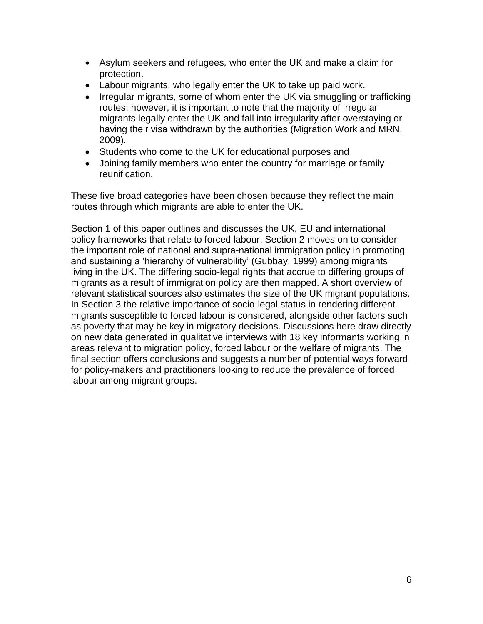- Asylum seekers and refugees*,* who enter the UK and make a claim for protection.
- Labour migrants, who legally enter the UK to take up paid work.
- Irregular migrants, some of whom enter the UK via smuggling or trafficking routes; however, it is important to note that the majority of irregular migrants legally enter the UK and fall into irregularity after overstaying or having their visa withdrawn by the authorities [\(Migration Work and MRN,](#page-37-0)  [2009\)](#page-37-0).
- Students who come to the UK for educational purposes and
- Joining family members who enter the country for marriage or family reunification.

These five broad categories have been chosen because they reflect the main routes through which migrants are able to enter the UK.

Section 1 of this paper outlines and discusses the UK, EU and international policy frameworks that relate to forced labour. Section 2 moves on to consider the important role of national and supra-national immigration policy in promoting and sustaining a 'hierarchy of vulnerability' [\(Gubbay, 1999\)](#page-36-0) among migrants living in the UK. The differing socio-legal rights that accrue to differing groups of migrants as a result of immigration policy are then mapped. A short overview of relevant statistical sources also estimates the size of the UK migrant populations. In Section 3 the relative importance of socio-legal status in rendering different migrants susceptible to forced labour is considered, alongside other factors such as poverty that may be key in migratory decisions. Discussions here draw directly on new data generated in qualitative interviews with 18 key informants working in areas relevant to migration policy, forced labour or the welfare of migrants. The final section offers conclusions and suggests a number of potential ways forward for policy-makers and practitioners looking to reduce the prevalence of forced labour among migrant groups.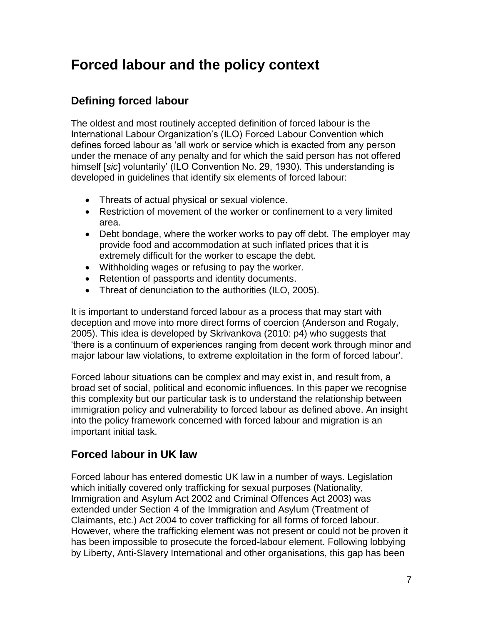## **Forced labour and the policy context**

### **Defining forced labour**

The oldest and most routinely accepted definition of forced labour is the International Labour Organization's (ILO) Forced Labour Convention which defines forced labour as 'all work or service which is exacted from any person under the menace of any penalty and for which the said person has not offered himself [*sic*] voluntarily' (ILO Convention No. 29, 1930). This understanding is developed in guidelines that identify six elements of forced labour:

- Threats of actual physical or sexual violence.
- Restriction of movement of the worker or confinement to a very limited area.
- Debt bondage, where the worker works to pay off debt. The employer may provide food and accommodation at such inflated prices that it is extremely difficult for the worker to escape the debt.
- Withholding wages or refusing to pay the worker.
- Retention of passports and identity documents.
- Threat of denunciation to the authorities [\(ILO, 2005\)](#page-37-1).

It is important to understand forced labour as a process that may start with deception and move into more direct forms of coercion [\(Anderson and Rogaly,](#page-34-1)  [2005\)](#page-34-1). This idea is developed by Skrivankova [\(2010: p4\)](#page-38-0) who suggests that 'there is a continuum of experiences ranging from decent work through minor and major labour law violations, to extreme exploitation in the form of forced labour'.

Forced labour situations can be complex and may exist in, and result from, a broad set of social, political and economic influences. In this paper we recognise this complexity but our particular task is to understand the relationship between immigration policy and vulnerability to forced labour as defined above. An insight into the policy framework concerned with forced labour and migration is an important initial task.

### **Forced labour in UK law**

Forced labour has entered domestic UK law in a number of ways. Legislation which initially covered only trafficking for sexual purposes (Nationality, Immigration and Asylum Act 2002 and Criminal Offences Act 2003) was extended under Section 4 of the Immigration and Asylum (Treatment of Claimants, etc.) Act 2004 to cover trafficking for all forms of forced labour. However, where the trafficking element was not present or could not be proven it has been impossible to prosecute the forced-labour element. Following lobbying by Liberty, Anti-Slavery International and other organisations, this gap has been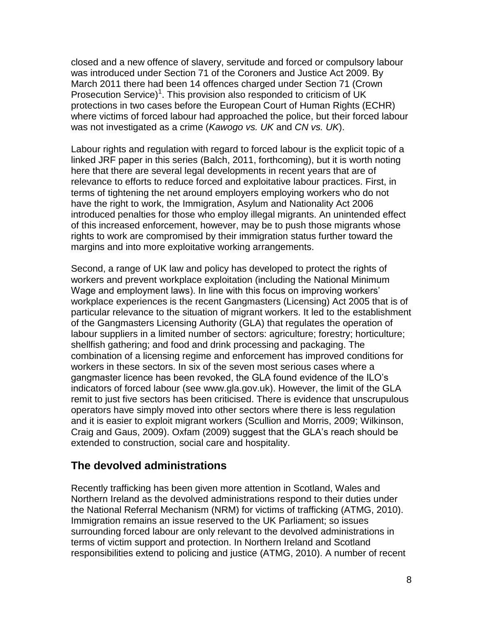closed and a new offence of slavery, servitude and forced or compulsory labour was introduced under Section 71 of the Coroners and Justice Act 2009. By March 2011 there had been 14 offences charged under Section 71 (Crown Prosecution Service)<sup>1</sup>. This provision also responded to criticism of UK protections in two cases before the European Court of Human Rights (ECHR) where victims of forced labour had approached the police, but their forced labour was not investigated as a crime (*Kawogo vs. UK* and *CN vs. UK*).

Labour rights and regulation with regard to forced labour is the explicit topic of a linked JRF paper in this series (Balch, 2011, forthcoming), but it is worth noting here that there are several legal developments in recent years that are of relevance to efforts to reduce forced and exploitative labour practices. First, in terms of tightening the net around employers employing workers who do not have the right to work, the Immigration, Asylum and Nationality Act 2006 introduced penalties for those who employ illegal migrants. An unintended effect of this increased enforcement, however, may be to push those migrants whose rights to work are compromised by their immigration status further toward the margins and into more exploitative working arrangements.

Second, a range of UK law and policy has developed to protect the rights of workers and prevent workplace exploitation (including the National Minimum Wage and employment laws). In line with this focus on improving workers' workplace experiences is the recent Gangmasters (Licensing) Act 2005 that is of particular relevance to the situation of migrant workers. It led to the establishment of the Gangmasters Licensing Authority (GLA) that regulates the operation of labour suppliers in a limited number of sectors: agriculture; forestry; horticulture; shellfish gathering; and food and drink processing and packaging. The combination of a licensing regime and enforcement has improved conditions for workers in these sectors. In six of the seven most serious cases where a gangmaster licence has been revoked, the GLA found evidence of the ILO's indicators of forced labour (see [www.gla.gov.uk\)](http://www.gla.gov.uk/). However, the limit of the GLA remit to just five sectors has been criticised. There is evidence that unscrupulous operators have simply moved into other sectors where there is less regulation and it is easier to exploit migrant workers [\(Scullion and Morris, 2009;](#page-38-2) Wilkinson, Craig and Gaus, 2009). Oxfam [\(2009\)](#page-37-2) suggest that the GLA's reach should be extended to construction, social care and hospitality.

#### **The devolved administrations**

Recently trafficking has been given more attention in Scotland, Wales and Northern Ireland as the devolved administrations respond to their duties under the National Referral Mechanism (NRM) for victims of trafficking [\(ATMG, 2010\)](#page-34-2). Immigration remains an issue reserved to the UK Parliament; so issues surrounding forced labour are only relevant to the devolved administrations in terms of victim support and protection. In Northern Ireland and Scotland responsibilities extend to policing and justice [\(ATMG, 2010\)](#page-34-2). A number of recent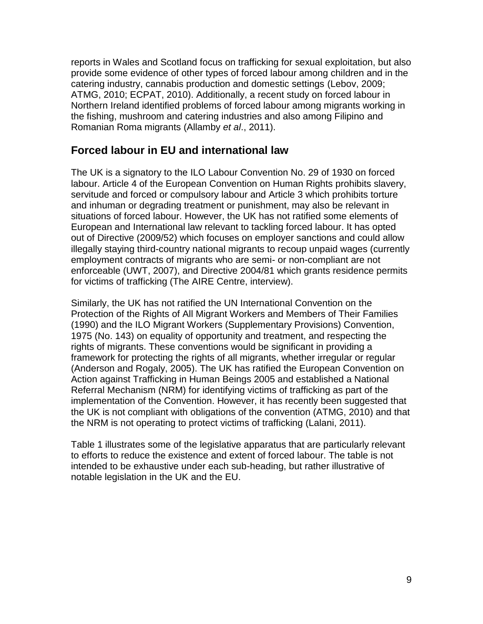reports in Wales and Scotland focus on trafficking for sexual exploitation, but also provide some evidence of other types of forced labour among children and in the catering industry, cannabis production and domestic settings [\(Lebov, 2009;](#page-37-3) [ATMG, 2010;](#page-34-2) [ECPAT, 2010\)](#page-35-2). Additionally, a recent study on forced labour in Northern Ireland identified problems of forced labour among migrants working in the fishing, mushroom and catering industries and also among Filipino and Romanian Roma migrants [\(Allamby](#page-34-3) *et al*., 2011).

### **Forced labour in EU and international law**

The UK is a signatory to the ILO Labour Convention No. 29 of 1930 on forced labour. Article 4 of the European Convention on Human Rights prohibits slavery, servitude and forced or compulsory labour and Article 3 which prohibits torture and inhuman or degrading treatment or punishment, may also be relevant in situations of forced labour. However, the UK has not ratified some elements of European and International law relevant to tackling forced labour. It has opted out of Directive (2009/52) which focuses on employer sanctions and could allow illegally staying third-country national migrants to recoup unpaid wages (currently employment contracts of migrants who are semi- or non-compliant are not enforceable [\(UWT, 2007\)](#page-38-3), and Directive 2004/81 which grants residence permits for victims of trafficking (The AIRE Centre, interview).

Similarly, the UK has not ratified the UN International Convention on the Protection of the Rights of All Migrant Workers and Members of Their Families (1990) and the ILO Migrant Workers (Supplementary Provisions) Convention, 1975 (No. 143) on equality of opportunity and treatment, and respecting the rights of migrants. These conventions would be significant in providing a framework for protecting the rights of all migrants, whether irregular or regular [\(Anderson and Rogaly, 2005\)](#page-34-1). The UK has ratified the European Convention on Action against Trafficking in Human Beings 2005 and established a National Referral Mechanism (NRM) for identifying victims of trafficking as part of the implementation of the Convention. However, it has recently been suggested that the UK is not compliant with obligations of the convention [\(ATMG, 2010\)](#page-34-2) and that the NRM is not operating to protect victims of trafficking [\(Lalani, 2011\)](#page-37-4).

Table 1 illustrates some of the legislative apparatus that are particularly relevant to efforts to reduce the existence and extent of forced labour. The table is not intended to be exhaustive under each sub-heading, but rather illustrative of notable legislation in the UK and the EU.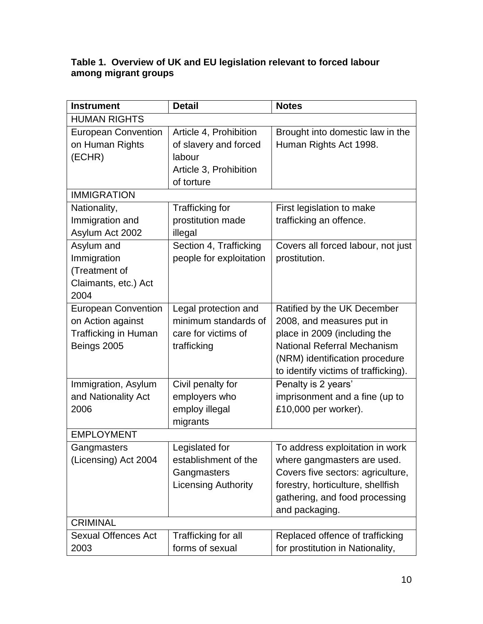#### **Table 1. Overview of UK and EU legislation relevant to forced labour among migrant groups**

| <b>Instrument</b>           | <b>Detail</b>              | <b>Notes</b>                         |  |  |
|-----------------------------|----------------------------|--------------------------------------|--|--|
| <b>HUMAN RIGHTS</b>         |                            |                                      |  |  |
| <b>European Convention</b>  | Article 4, Prohibition     | Brought into domestic law in the     |  |  |
| on Human Rights             | of slavery and forced      | Human Rights Act 1998.               |  |  |
| (ECHR)                      | labour                     |                                      |  |  |
|                             | Article 3, Prohibition     |                                      |  |  |
|                             | of torture                 |                                      |  |  |
| <b>IMMIGRATION</b>          |                            |                                      |  |  |
| Nationality,                | <b>Trafficking for</b>     | First legislation to make            |  |  |
| Immigration and             | prostitution made          | trafficking an offence.              |  |  |
| Asylum Act 2002             | illegal                    |                                      |  |  |
| Asylum and                  | Section 4, Trafficking     | Covers all forced labour, not just   |  |  |
| Immigration                 | people for exploitation    | prostitution.                        |  |  |
| (Treatment of               |                            |                                      |  |  |
| Claimants, etc.) Act        |                            |                                      |  |  |
| 2004                        |                            |                                      |  |  |
| <b>European Convention</b>  | Legal protection and       | Ratified by the UK December          |  |  |
| on Action against           | minimum standards of       | 2008, and measures put in            |  |  |
| <b>Trafficking in Human</b> | care for victims of        | place in 2009 (including the         |  |  |
| Beings 2005                 | trafficking                | National Referral Mechanism          |  |  |
|                             |                            | (NRM) identification procedure       |  |  |
|                             |                            | to identify victims of trafficking). |  |  |
| Immigration, Asylum         | Civil penalty for          | Penalty is 2 years'                  |  |  |
| and Nationality Act         | employers who              | imprisonment and a fine (up to       |  |  |
| 2006                        | employ illegal             | £10,000 per worker).                 |  |  |
| <b>EMPLOYMENT</b>           | migrants                   |                                      |  |  |
| Gangmasters                 | Legislated for             | To address exploitation in work      |  |  |
| (Licensing) Act 2004        | establishment of the       | where gangmasters are used.          |  |  |
|                             | Gangmasters                | Covers five sectors: agriculture,    |  |  |
|                             | <b>Licensing Authority</b> | forestry, horticulture, shellfish    |  |  |
|                             |                            | gathering, and food processing       |  |  |
|                             |                            | and packaging.                       |  |  |
| <b>CRIMINAL</b>             |                            |                                      |  |  |
| <b>Sexual Offences Act</b>  | Trafficking for all        | Replaced offence of trafficking      |  |  |
| 2003                        | forms of sexual            | for prostitution in Nationality,     |  |  |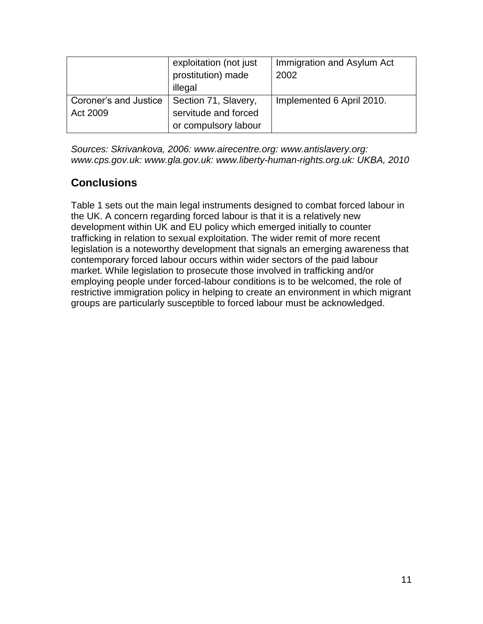|                                   | exploitation (not just<br>prostitution) made<br>illegal              | Immigration and Asylum Act<br>2002 |
|-----------------------------------|----------------------------------------------------------------------|------------------------------------|
| Coroner's and Justice<br>Act 2009 | Section 71, Slavery,<br>servitude and forced<br>or compulsory labour | Implemented 6 April 2010.          |

*Sources: Skrivankova, 2006: www.airecentre.org: www.antislavery.org: www.cps.gov.uk: www.gla.gov.uk: www.liberty-human-rights.org.uk: UKBA, 2010*

### **Conclusions**

Table 1 sets out the main legal instruments designed to combat forced labour in the UK. A concern regarding forced labour is that it is a relatively new development within UK and EU policy which emerged initially to counter trafficking in relation to sexual exploitation. The wider remit of more recent legislation is a noteworthy development that signals an emerging awareness that contemporary forced labour occurs within wider sectors of the paid labour market. While legislation to prosecute those involved in trafficking and/or employing people under forced-labour conditions is to be welcomed, the role of restrictive immigration policy in helping to create an environment in which migrant groups are particularly susceptible to forced labour must be acknowledged.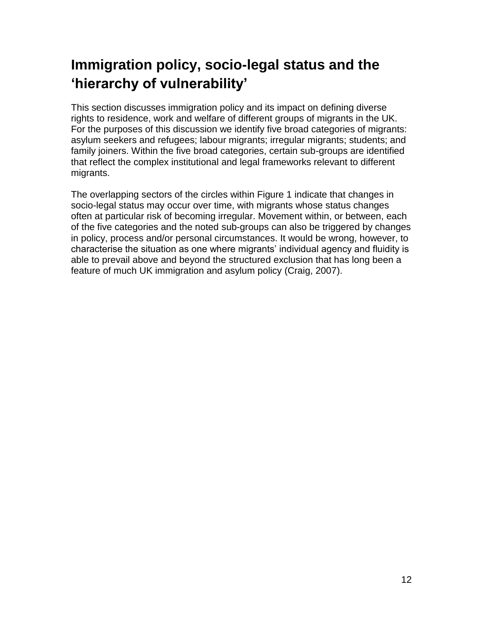## **Immigration policy, socio-legal status and the 'hierarchy of vulnerability'**

This section discusses immigration policy and its impact on defining diverse rights to residence, work and welfare of different groups of migrants in the UK. For the purposes of this discussion we identify five broad categories of migrants: asylum seekers and refugees; labour migrants; irregular migrants; students; and family joiners. Within the five broad categories, certain sub-groups are identified that reflect the complex institutional and legal frameworks relevant to different migrants.

The overlapping sectors of the circles within Figure 1 indicate that changes in socio-legal status may occur over time, with migrants whose status changes often at particular risk of becoming irregular. Movement within, or between, each of the five categories and the noted sub-groups can also be triggered by changes in policy, process and/or personal circumstances. It would be wrong, however, to characterise the situation as one where migrants' individual agency and fluidity is able to prevail above and beyond the structured exclusion that has long been a feature of much UK immigration and asylum policy [\(Craig, 2007\)](#page-35-1).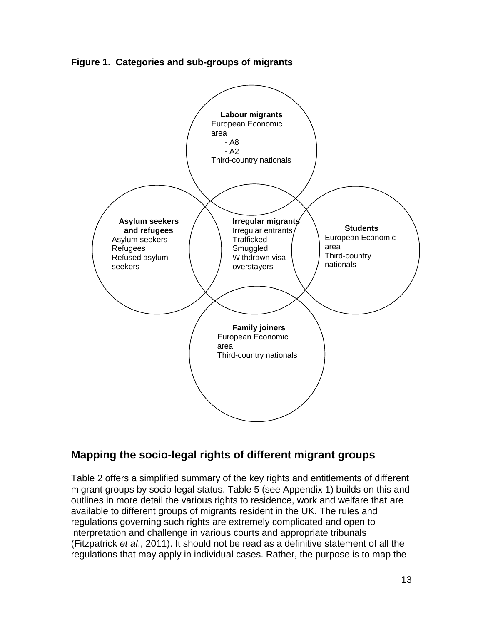**Figure 1. Categories and sub-groups of migrants**



### **Mapping the socio-legal rights of different migrant groups**

Table 2 offers a simplified summary of the key rights and entitlements of different migrant groups by socio-legal status. Table 5 (see Appendix 1) builds on this and outlines in more detail the various rights to residence, work and welfare that are available to different groups of migrants resident in the UK. The rules and regulations governing such rights are extremely complicated and open to interpretation and challenge in various courts and appropriate tribunals [\(Fitzpatrick](#page-36-1) *et al*., 2011). It should not be read as a definitive statement of all the regulations that may apply in individual cases. Rather, the purpose is to map the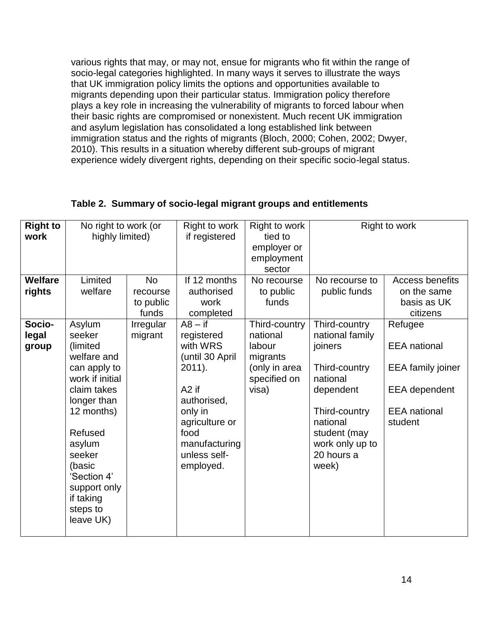various rights that may, or may not, ensue for migrants who fit within the range of socio-legal categories highlighted. In many ways it serves to illustrate the ways that UK immigration policy limits the options and opportunities available to migrants depending upon their particular status. Immigration policy therefore plays a key role in increasing the vulnerability of migrants to forced labour when their basic rights are compromised or nonexistent. Much recent UK immigration and asylum legislation has consolidated a long established link between immigration status and the rights of migrants [\(Bloch, 2000;](#page-34-0) [Cohen, 2002;](#page-35-3) [Dwyer,](#page-35-4)  [2010\)](#page-35-4). This results in a situation whereby different sub-groups of migrant experience widely divergent rights, depending on their specific socio-legal status.

| <b>Right to</b><br>work<br><b>Welfare</b> | No right to work (or<br>highly limited)<br>Limited | <b>No</b> | Right to work<br>if registered<br>If 12 months | Right to work<br>tied to<br>employer or<br>employment<br>sector<br>No recourse | No recourse to           | Right to work<br>Access benefits |
|-------------------------------------------|----------------------------------------------------|-----------|------------------------------------------------|--------------------------------------------------------------------------------|--------------------------|----------------------------------|
| rights                                    | welfare                                            | recourse  | authorised                                     | to public                                                                      | public funds             | on the same                      |
|                                           |                                                    | to public | work                                           | funds                                                                          |                          | basis as UK                      |
|                                           |                                                    | funds     | completed                                      |                                                                                |                          | citizens                         |
| Socio-                                    | Asylum                                             | Irregular | $A8 - if$                                      | Third-country                                                                  | Third-country            | Refugee                          |
| legal                                     | seeker                                             | migrant   | registered                                     | national                                                                       | national family          |                                  |
| group                                     | (limited<br>welfare and                            |           | with WRS<br>(until 30 April                    | labour<br>migrants                                                             | joiners                  | <b>EEA</b> national              |
|                                           | can apply to                                       |           | $2011$ ).                                      | (only in area                                                                  | Third-country            | <b>EEA</b> family joiner         |
|                                           | work if initial                                    |           |                                                | specified on                                                                   | national                 |                                  |
|                                           | claim takes                                        |           | A <sub>2</sub> if                              | visa)                                                                          | dependent                | <b>EEA</b> dependent             |
|                                           | longer than                                        |           | authorised,                                    |                                                                                |                          |                                  |
|                                           | 12 months)                                         |           | only in                                        |                                                                                | Third-country            | <b>EEA</b> national              |
|                                           | Refused                                            |           | agriculture or<br>food                         |                                                                                | national<br>student (may | student                          |
|                                           | asylum                                             |           | manufacturing                                  |                                                                                | work only up to          |                                  |
|                                           | seeker                                             |           | unless self-                                   |                                                                                | 20 hours a               |                                  |
|                                           | (basic                                             |           | employed.                                      |                                                                                | week)                    |                                  |
|                                           | 'Section 4'                                        |           |                                                |                                                                                |                          |                                  |
|                                           | support only<br>if taking                          |           |                                                |                                                                                |                          |                                  |
|                                           | steps to                                           |           |                                                |                                                                                |                          |                                  |
|                                           | leave UK)                                          |           |                                                |                                                                                |                          |                                  |
|                                           |                                                    |           |                                                |                                                                                |                          |                                  |

#### **Table 2. Summary of socio-legal migrant groups and entitlements**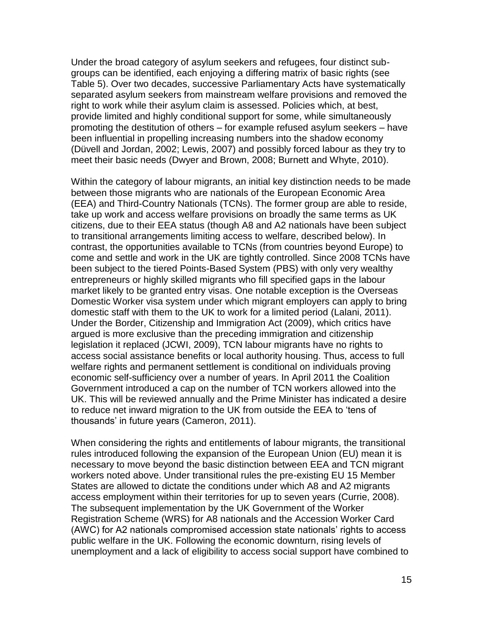Under the broad category of asylum seekers and refugees, four distinct subgroups can be identified, each enjoying a differing matrix of basic rights (see Table 5). Over two decades, successive Parliamentary Acts have systematically separated asylum seekers from mainstream welfare provisions and removed the right to work while their asylum claim is assessed. Policies which, at best, provide limited and highly conditional support for some, while simultaneously promoting the destitution of others – for example refused asylum seekers – have been influential in propelling increasing numbers into the shadow economy [\(Düvell and Jordan, 2002;](#page-35-5) [Lewis, 2007\)](#page-37-5) and possibly forced labour as they try to meet their basic needs [\(Dwyer and Brown, 2008;](#page-35-6) [Burnett and Whyte, 2010\)](#page-34-4).

Within the category of labour migrants, an initial key distinction needs to be made between those migrants who are nationals of the European Economic Area (EEA) and Third-Country Nationals (TCNs). The former group are able to reside, take up work and access welfare provisions on broadly the same terms as UK citizens, due to their EEA status (though A8 and A2 nationals have been subject to transitional arrangements limiting access to welfare, described below). In contrast, the opportunities available to TCNs (from countries beyond Europe) to come and settle and work in the UK are tightly controlled. Since 2008 TCNs have been subject to the tiered Points-Based System (PBS) with only very wealthy entrepreneurs or highly skilled migrants who fill specified gaps in the labour market likely to be granted entry visas. One notable exception is the Overseas Domestic Worker visa system under which migrant employers can apply to bring domestic staff with them to the UK to work for a limited period [\(Lalani, 2011\)](#page-37-4). Under the Border, Citizenship and Immigration Act (2009), which critics have argued is more exclusive than the preceding immigration and citizenship legislation it replaced [\(JCWI, 2009\)](#page-37-6), TCN labour migrants have no rights to access social assistance benefits or local authority housing. Thus, access to full welfare rights and permanent settlement is conditional on individuals proving economic self-sufficiency over a number of years. In April 2011 the Coalition Government introduced a cap on the number of TCN workers allowed into the UK. This will be reviewed annually and the Prime Minister has indicated a desire to reduce net inward migration to the UK from outside the EEA to 'tens of thousands' in future years [\(Cameron, 2011\)](#page-34-5).

When considering the rights and entitlements of labour migrants, the transitional rules introduced following the expansion of the European Union (EU) mean it is necessary to move beyond the basic distinction between EEA and TCN migrant workers noted above. Under transitional rules the pre-existing EU 15 Member States are allowed to dictate the conditions under which A8 and A2 migrants access employment within their territories for up to seven years [\(Currie, 2008\)](#page-35-7). The subsequent implementation by the UK Government of the Worker Registration Scheme (WRS) for A8 nationals and the Accession Worker Card (AWC) for A2 nationals compromised accession state nationals' rights to access public welfare in the UK. Following the economic downturn, rising levels of unemployment and a lack of eligibility to access social support have combined to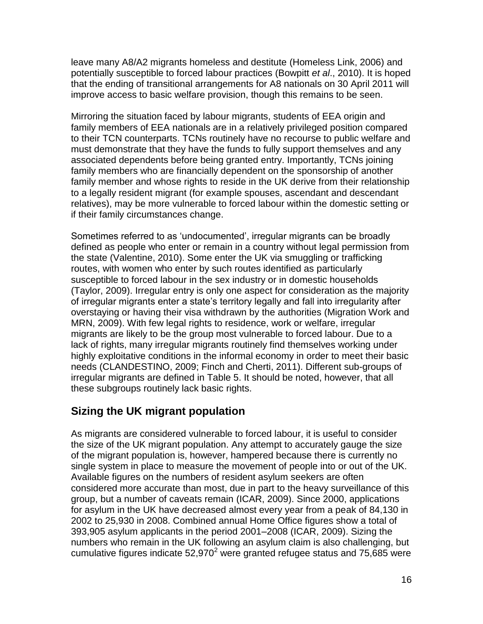leave many A8/A2 migrants homeless and destitute [\(Homeless Link, 2006\)](#page-36-2) and potentially susceptible to forced labour practices [\(Bowpitt](#page-34-6) *et al*., 2010). It is hoped that the ending of transitional arrangements for A8 nationals on 30 April 2011 will improve access to basic welfare provision, though this remains to be seen.

Mirroring the situation faced by labour migrants, students of EEA origin and family members of EEA nationals are in a relatively privileged position compared to their TCN counterparts. TCNs routinely have no recourse to public welfare and must demonstrate that they have the funds to fully support themselves and any associated dependents before being granted entry. Importantly, TCNs joining family members who are financially dependent on the sponsorship of another family member and whose rights to reside in the UK derive from their relationship to a legally resident migrant (for example spouses, ascendant and descendant relatives), may be more vulnerable to forced labour within the domestic setting or if their family circumstances change.

Sometimes referred to as 'undocumented', irregular migrants can be broadly defined as people who enter or remain in a country without legal permission from the state [\(Valentine, 2010\)](#page-38-4). Some enter the UK via smuggling or trafficking routes, with women who enter by such routes identified as particularly susceptible to forced labour in the sex industry or in domestic households [\(Taylor, 2009\)](#page-38-5). Irregular entry is only one aspect for consideration as the majority of irregular migrants enter a state's territory legally and fall into irregularity after overstaying or having their visa withdrawn by the authorities [\(Migration Work and](#page-37-0)  [MRN, 2009\)](#page-37-0). With few legal rights to residence, work or welfare, irregular migrants are likely to be the group most vulnerable to forced labour. Due to a lack of rights, many irregular migrants routinely find themselves working under highly exploitative conditions in the informal economy in order to meet their basic needs [\(CLANDESTINO, 2009;](#page-35-8) [Finch and Cherti, 2011\)](#page-36-3). Different sub-groups of irregular migrants are defined in Table 5. It should be noted, however, that all these subgroups routinely lack basic rights.

### **Sizing the UK migrant population**

As migrants are considered vulnerable to forced labour, it is useful to consider the size of the UK migrant population. Any attempt to accurately gauge the size of the migrant population is, however, hampered because there is currently no single system in place to measure the movement of people into or out of the UK. Available figures on the numbers of resident asylum seekers are often considered more accurate than most, due in part to the heavy surveillance of this group, but a number of caveats remain [\(ICAR, 2009\)](#page-36-4). Since 2000, applications for asylum in the UK have decreased almost every year from a peak of 84,130 in 2002 to 25,930 in 2008. Combined annual Home Office figures show a total of 393,905 asylum applicants in the period 2001–2008 (ICAR, 2009). Sizing the numbers who remain in the UK following an asylum claim is also challenging, but cumulative figures indicate  $52,970^2$  were granted refugee status and 75,685 were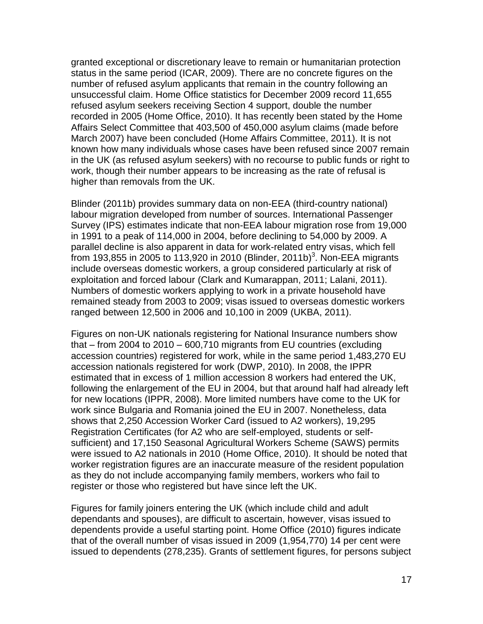granted exceptional or discretionary leave to remain or humanitarian protection status in the same period (ICAR, 2009). There are no concrete figures on the number of refused asylum applicants that remain in the country following an unsuccessful claim. Home Office statistics for December 2009 record 11,655 refused asylum seekers receiving Section 4 support, double the number recorded in 2005 (Home Office, 2010). It has recently been stated by the Home Affairs Select Committee that 403,500 of 450,000 asylum claims (made before March 2007) have been concluded [\(Home Affairs Committee, 2011\)](#page-36-5). It is not known how many individuals whose cases have been refused since 2007 remain in the UK (as refused asylum seekers) with no recourse to public funds or right to work, though their number appears to be increasing as the rate of refusal is higher than removals from the UK.

Blinder [\(2011b\)](#page-34-7) provides summary data on non-EEA (third-country national) labour migration developed from number of sources. International Passenger Survey (IPS) estimates indicate that non-EEA labour migration rose from 19,000 in 1991 to a peak of 114,000 in 2004, before declining to 54,000 by 2009. A parallel decline is also apparent in data for work-related entry visas, which fell from 193,855 in 2005 to 113,920 in 2010 [\(Blinder, 2011b\)](#page-34-7)<sup>3</sup>. Non-EEA migrants include overseas domestic workers, a group considered particularly at risk of exploitation and forced labour [\(Clark and Kumarappan, 2011;](#page-35-9) [Lalani, 2011\)](#page-37-4). Numbers of domestic workers applying to work in a private household have remained steady from 2003 to 2009; visas issued to overseas domestic workers ranged between 12,500 in 2006 and 10,100 in 2009 [\(UKBA, 2011\)](#page-38-6).

Figures on non-UK nationals registering for National Insurance numbers show that – from 2004 to 2010 – 600,710 migrants from EU countries (excluding accession countries) registered for work, while in the same period 1,483,270 EU accession nationals registered for work [\(DWP, 2010\)](#page-35-10). In 2008, the IPPR estimated that in excess of 1 million accession 8 workers had entered the UK, following the enlargement of the EU in 2004, but that around half had already left for new locations [\(IPPR, 2008\)](#page-37-7). More limited numbers have come to the UK for work since Bulgaria and Romania joined the EU in 2007. Nonetheless, data shows that 2,250 Accession Worker Card (issued to A2 workers), 19,295 Registration Certificates (for A2 who are self-employed, students or selfsufficient) and 17,150 Seasonal Agricultural Workers Scheme (SAWS) permits were issued to A2 nationals in 2010 [\(Home Office, 2010\)](#page-36-6). It should be noted that worker registration figures are an inaccurate measure of the resident population as they do not include accompanying family members, workers who fail to register or those who registered but have since left the UK.

Figures for family joiners entering the UK (which include child and adult dependants and spouses), are difficult to ascertain, however, visas issued to dependents provide a useful starting point. Home Office [\(2010\)](#page-36-6) figures indicate that of the overall number of visas issued in 2009 (1,954,770) 14 per cent were issued to dependents (278,235). Grants of settlement figures, for persons subject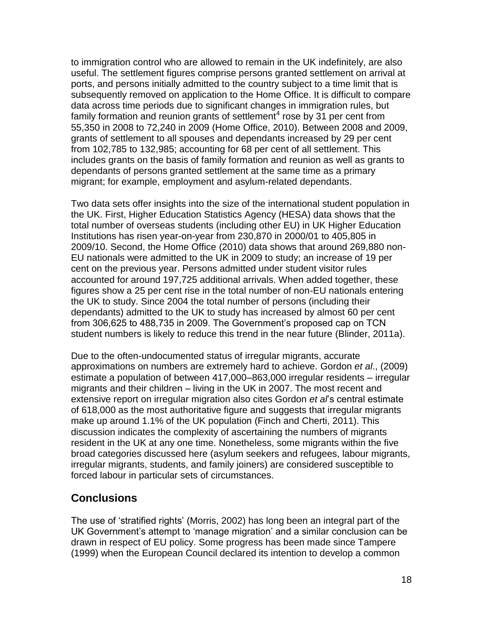to immigration control who are allowed to remain in the UK indefinitely, are also useful. The settlement figures comprise persons granted settlement on arrival at ports, and persons initially admitted to the country subject to a time limit that is subsequently removed on application to the Home Office. It is difficult to compare data across time periods due to significant changes in immigration rules, but family formation and reunion grants of settlement<sup>4</sup> rose by 31 per cent from 55,350 in 2008 to 72,240 in 2009 [\(Home Office, 2010\)](#page-36-6). Between 2008 and 2009, grants of settlement to all spouses and dependants increased by 29 per cent from 102,785 to 132,985; accounting for 68 per cent of all settlement. This includes grants on the basis of family formation and reunion as well as grants to dependants of persons granted settlement at the same time as a primary migrant; for example, employment and asylum-related dependants.

Two data sets offer insights into the size of the international student population in the UK. First, Higher Education Statistics Agency (HESA) data shows that the total number of overseas students (including other EU) in UK Higher Education Institutions has risen year-on-year from 230,870 in 2000/01 to 405,805 in 2009/10. Second, the Home Office [\(2010\)](#page-36-6) data shows that around 269,880 non-EU nationals were admitted to the UK in 2009 to study; an increase of 19 per cent on the previous year. Persons admitted under student visitor rules accounted for around 197,725 additional arrivals. When added together, these figures show a 25 per cent rise in the total number of non-EU nationals entering the UK to study. Since 2004 the total number of persons (including their dependants) admitted to the UK to study has increased by almost 60 per cent from 306,625 to 488,735 in 2009. The Government's proposed cap on TCN student numbers is likely to reduce this trend in the near future [\(Blinder, 2011a\)](#page-34-8).

Due to the often-undocumented status of irregular migrants, accurate approximations on numbers are extremely hard to achieve. Gordon *et al*., [\(2009\)](#page-36-7) estimate a population of between 417,000–863,000 irregular residents – irregular migrants and their children – living in the UK in 2007. The most recent and extensive report on irregular migration also cites Gordon *et al*'s central estimate of 618,000 as the most authoritative figure and suggests that irregular migrants make up around 1.1% of the UK population [\(Finch and Cherti, 2011\)](#page-36-3). This discussion indicates the complexity of ascertaining the numbers of migrants resident in the UK at any one time. Nonetheless, some migrants within the five broad categories discussed here (asylum seekers and refugees, labour migrants, irregular migrants, students, and family joiners) are considered susceptible to forced labour in particular sets of circumstances.

#### **Conclusions**

The use of 'stratified rights' [\(Morris, 2002\)](#page-37-8) has long been an integral part of the UK Government's attempt to 'manage migration' and a similar conclusion can be drawn in respect of EU policy. Some progress has been made since Tampere (1999) when the European Council declared its intention to develop a common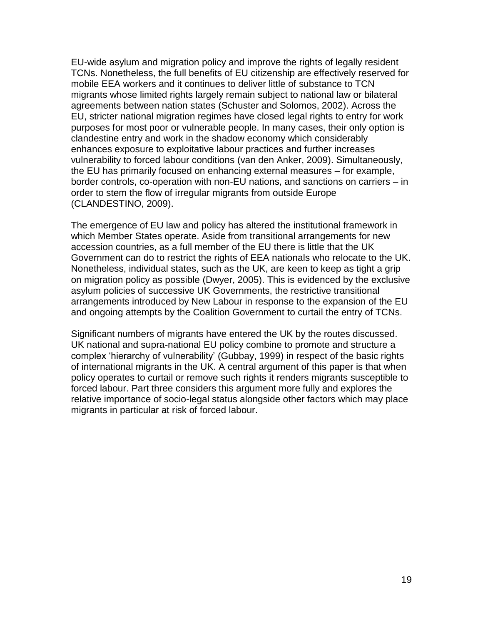EU-wide asylum and migration policy and improve the rights of legally resident TCNs. Nonetheless, the full benefits of EU citizenship are effectively reserved for mobile EEA workers and it continues to deliver little of substance to TCN migrants whose limited rights largely remain subject to national law or bilateral agreements between nation states [\(Schuster and Solomos, 2002\)](#page-37-9). Across the EU, stricter national migration regimes have closed legal rights to entry for work purposes for most poor or vulnerable people. In many cases, their only option is clandestine entry and work in the shadow economy which considerably enhances exposure to exploitative labour practices and further increases vulnerability to forced labour conditions [\(van den Anker, 2009\)](#page-38-1). Simultaneously, the EU has primarily focused on enhancing external measures – for example, border controls, co-operation with non-EU nations, and sanctions on carriers – in order to stem the flow of irregular migrants from outside Europe [\(CLANDESTINO, 2009\)](#page-35-8).

The emergence of EU law and policy has altered the institutional framework in which Member States operate. Aside from transitional arrangements for new accession countries, as a full member of the EU there is little that the UK Government can do to restrict the rights of EEA nationals who relocate to the UK. Nonetheless, individual states, such as the UK, are keen to keep as tight a grip on migration policy as possible [\(Dwyer, 2005\)](#page-35-0). This is evidenced by the exclusive asylum policies of successive UK Governments, the restrictive transitional arrangements introduced by New Labour in response to the expansion of the EU and ongoing attempts by the Coalition Government to curtail the entry of TCNs.

Significant numbers of migrants have entered the UK by the routes discussed. UK national and supra-national EU policy combine to promote and structure a complex 'hierarchy of vulnerability' [\(Gubbay, 1999\)](#page-36-0) in respect of the basic rights of international migrants in the UK. A central argument of this paper is that when policy operates to curtail or remove such rights it renders migrants susceptible to forced labour. Part three considers this argument more fully and explores the relative importance of socio-legal status alongside other factors which may place migrants in particular at risk of forced labour.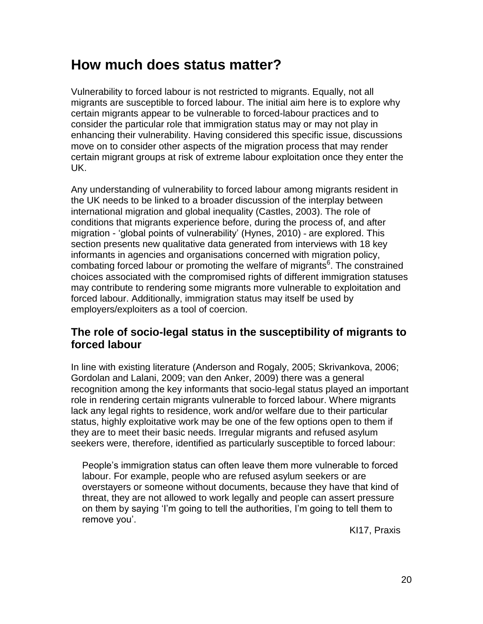## **How much does status matter?**

Vulnerability to forced labour is not restricted to migrants. Equally, not all migrants are susceptible to forced labour. The initial aim here is to explore why certain migrants appear to be vulnerable to forced-labour practices and to consider the particular role that immigration status may or may not play in enhancing their vulnerability. Having considered this specific issue, discussions move on to consider other aspects of the migration process that may render certain migrant groups at risk of extreme labour exploitation once they enter the UK.

Any understanding of vulnerability to forced labour among migrants resident in the UK needs to be linked to a broader discussion of the interplay between international migration and global inequality [\(Castles, 2003\)](#page-35-11). The role of conditions that migrants experience before, during the process of, and after migration - 'global points of vulnerability' [\(Hynes, 2010\)](#page-36-8) - are explored. This section presents new qualitative data generated from interviews with 18 key informants in agencies and organisations concerned with migration policy, combating forced labour or promoting the welfare of migrants<sup>6</sup>. The constrained choices associated with the compromised rights of different immigration statuses may contribute to rendering some migrants more vulnerable to exploitation and forced labour. Additionally, immigration status may itself be used by employers/exploiters as a tool of coercion.

#### **The role of socio-legal status in the susceptibility of migrants to forced labour**

In line with existing literature [\(Anderson and Rogaly, 2005;](#page-34-1) [Skrivankova, 2006;](#page-37-9) [Gordolan and Lalani, 2009;](#page-36-9) [van den Anker, 2009\)](#page-38-1) there was a general recognition among the key informants that socio-legal status played an important role in rendering certain migrants vulnerable to forced labour. Where migrants lack any legal rights to residence, work and/or welfare due to their particular status, highly exploitative work may be one of the few options open to them if they are to meet their basic needs. Irregular migrants and refused asylum seekers were, therefore, identified as particularly susceptible to forced labour:

People's immigration status can often leave them more vulnerable to forced labour. For example, people who are refused asylum seekers or are overstayers or someone without documents, because they have that kind of threat, they are not allowed to work legally and people can assert pressure on them by saying 'I'm going to tell the authorities, I'm going to tell them to remove you'.

KI17, Praxis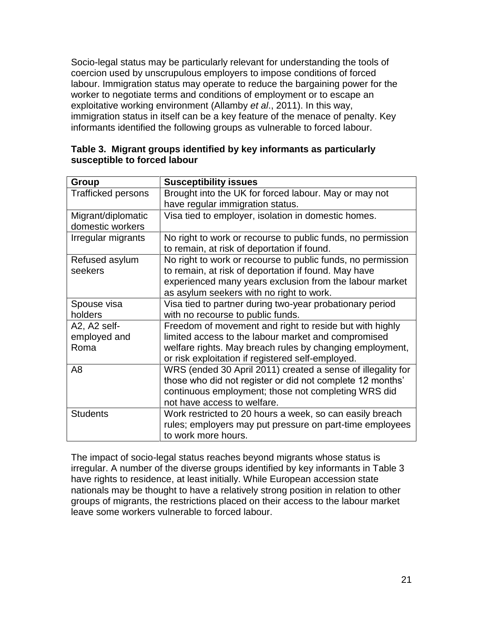Socio-legal status may be particularly relevant for understanding the tools of coercion used by unscrupulous employers to impose conditions of forced labour. Immigration status may operate to reduce the bargaining power for the worker to negotiate terms and conditions of employment or to escape an exploitative working environment [\(Allamby](#page-34-3) *et al*., 2011). In this way, immigration status in itself can be a key feature of the menace of penalty. Key informants identified the following groups as vulnerable to forced labour.

| Table 3. Migrant groups identified by key informants as particularly |  |  |  |
|----------------------------------------------------------------------|--|--|--|
| susceptible to forced labour                                         |  |  |  |

| <b>Group</b>              | <b>Susceptibility issues</b>                                |  |  |
|---------------------------|-------------------------------------------------------------|--|--|
| <b>Trafficked persons</b> | Brought into the UK for forced labour. May or may not       |  |  |
|                           | have regular immigration status.                            |  |  |
| Migrant/diplomatic        | Visa tied to employer, isolation in domestic homes.         |  |  |
| domestic workers          |                                                             |  |  |
| Irregular migrants        | No right to work or recourse to public funds, no permission |  |  |
|                           | to remain, at risk of deportation if found.                 |  |  |
| Refused asylum            | No right to work or recourse to public funds, no permission |  |  |
| seekers                   | to remain, at risk of deportation if found. May have        |  |  |
|                           | experienced many years exclusion from the labour market     |  |  |
|                           | as asylum seekers with no right to work.                    |  |  |
| Spouse visa               | Visa tied to partner during two-year probationary period    |  |  |
| holders                   | with no recourse to public funds.                           |  |  |
| A2, A2 self-              | Freedom of movement and right to reside but with highly     |  |  |
| employed and              | limited access to the labour market and compromised         |  |  |
| Roma                      | welfare rights. May breach rules by changing employment,    |  |  |
|                           | or risk exploitation if registered self-employed.           |  |  |
| A8                        | WRS (ended 30 April 2011) created a sense of illegality for |  |  |
|                           | those who did not register or did not complete 12 months'   |  |  |
|                           | continuous employment; those not completing WRS did         |  |  |
|                           | not have access to welfare.                                 |  |  |
| <b>Students</b>           | Work restricted to 20 hours a week, so can easily breach    |  |  |
|                           | rules; employers may put pressure on part-time employees    |  |  |
|                           | to work more hours.                                         |  |  |

The impact of socio-legal status reaches beyond migrants whose status is irregular. A number of the diverse groups identified by key informants in Table 3 have rights to residence, at least initially. While European accession state nationals may be thought to have a relatively strong position in relation to other groups of migrants, the restrictions placed on their access to the labour market leave some workers vulnerable to forced labour.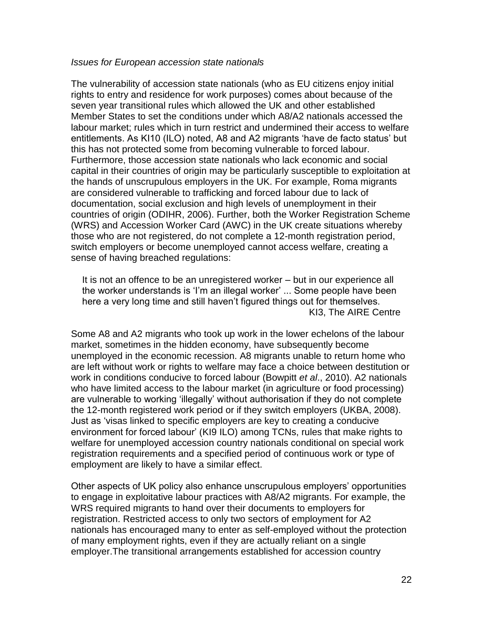#### *Issues for European accession state nationals*

The vulnerability of accession state nationals (who as EU citizens enjoy initial rights to entry and residence for work purposes) comes about because of the seven year transitional rules which allowed the UK and other established Member States to set the conditions under which A8/A2 nationals accessed the labour market; rules which in turn restrict and undermined their access to welfare entitlements. As KI10 (ILO) noted, A8 and A2 migrants 'have de facto status' but this has not protected some from becoming vulnerable to forced labour. Furthermore, those accession state nationals who lack economic and social capital in their countries of origin may be particularly susceptible to exploitation at the hands of unscrupulous employers in the UK. For example, Roma migrants are considered vulnerable to trafficking and forced labour due to lack of documentation, social exclusion and high levels of unemployment in their countries of origin [\(ODIHR, 2006\)](#page-37-10). Further, both the Worker Registration Scheme (WRS) and Accession Worker Card (AWC) in the UK create situations whereby those who are not registered, do not complete a 12-month registration period, switch employers or become unemployed cannot access welfare, creating a sense of having breached regulations:

It is not an offence to be an unregistered worker – but in our experience all the worker understands is 'I'm an illegal worker' ... Some people have been here a very long time and still haven't figured things out for themselves. KI3, The AIRE Centre

Some A8 and A2 migrants who took up work in the lower echelons of the labour market, sometimes in the hidden economy, have subsequently become unemployed in the economic recession. A8 migrants unable to return home who are left without work or rights to welfare may face a choice between destitution or work in conditions conducive to forced labour [\(Bowpitt](#page-34-6) *et al*., 2010). A2 nationals who have limited access to the labour market (in agriculture or food processing) are vulnerable to working 'illegally' without authorisation if they do not complete the 12-month registered work period or if they switch employers [\(UKBA, 2008\)](#page-38-7). Just as 'visas linked to specific employers are key to creating a conducive environment for forced labour' (KI9 ILO) among TCNs, rules that make rights to welfare for unemployed accession country nationals conditional on special work registration requirements and a specified period of continuous work or type of employment are likely to have a similar effect.

Other aspects of UK policy also enhance unscrupulous employers' opportunities to engage in exploitative labour practices with A8/A2 migrants. For example, the WRS required migrants to hand over their documents to employers for registration. Restricted access to only two sectors of employment for A2 nationals has encouraged many to enter as self-employed without the protection of many employment rights, even if they are actually reliant on a single employer.The transitional arrangements established for accession country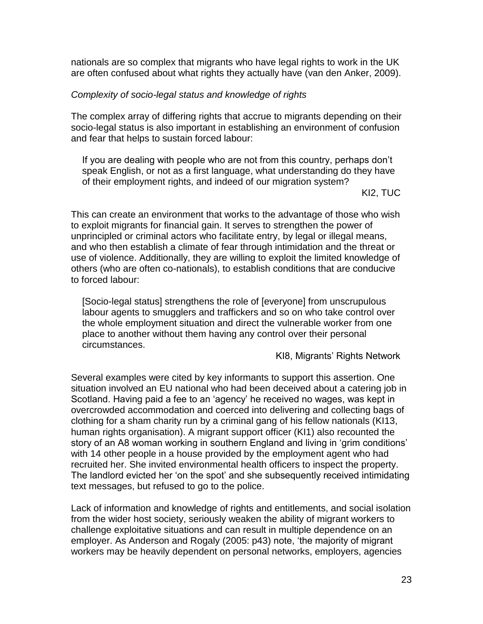nationals are so complex that migrants who have legal rights to work in the UK are often confused about what rights they actually have (van den Anker, 2009).

#### *Complexity of socio-legal status and knowledge of rights*

The complex array of differing rights that accrue to migrants depending on their socio-legal status is also important in establishing an environment of confusion and fear that helps to sustain forced labour:

If you are dealing with people who are not from this country, perhaps don't speak English, or not as a first language, what understanding do they have of their employment rights, and indeed of our migration system?

KI2, TUC

This can create an environment that works to the advantage of those who wish to exploit migrants for financial gain. It serves to strengthen the power of unprincipled or criminal actors who facilitate entry, by legal or illegal means, and who then establish a climate of fear through intimidation and the threat or use of violence. Additionally, they are willing to exploit the limited knowledge of others (who are often co-nationals), to establish conditions that are conducive to forced labour:

[Socio-legal status] strengthens the role of [everyone] from unscrupulous labour agents to smugglers and traffickers and so on who take control over the whole employment situation and direct the vulnerable worker from one place to another without them having any control over their personal circumstances.

KI8, Migrants' Rights Network

Several examples were cited by key informants to support this assertion. One situation involved an EU national who had been deceived about a catering job in Scotland. Having paid a fee to an 'agency' he received no wages, was kept in overcrowded accommodation and coerced into delivering and collecting bags of clothing for a sham charity run by a criminal gang of his fellow nationals (KI13, human rights organisation). A migrant support officer (KI1) also recounted the story of an A8 woman working in southern England and living in 'grim conditions' with 14 other people in a house provided by the employment agent who had recruited her. She invited environmental health officers to inspect the property. The landlord evicted her 'on the spot' and she subsequently received intimidating text messages, but refused to go to the police.

Lack of information and knowledge of rights and entitlements, and social isolation from the wider host society, seriously weaken the ability of migrant workers to challenge exploitative situations and can result in multiple dependence on an employer. As Anderson and Rogaly [\(2005: p43\)](#page-34-1) note, 'the majority of migrant workers may be heavily dependent on personal networks, employers, agencies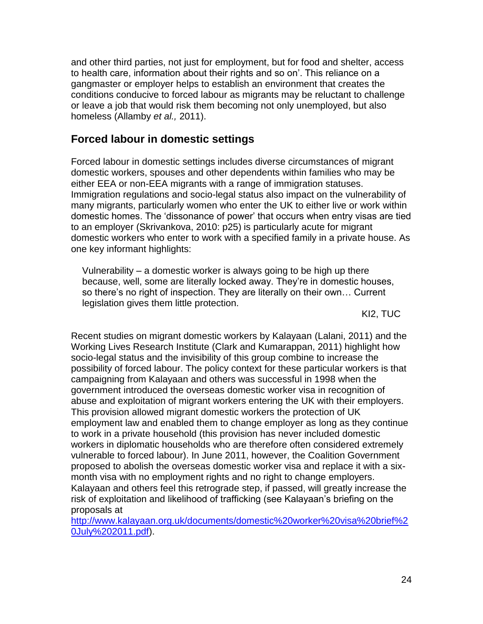and other third parties, not just for employment, but for food and shelter, access to health care, information about their rights and so on'. This reliance on a gangmaster or employer helps to establish an environment that creates the conditions conducive to forced labour as migrants may be reluctant to challenge or leave a job that would risk them becoming not only unemployed, but also homeless [\(Allamby](#page-34-3) *et al.,* 2011).

### **Forced labour in domestic settings**

Forced labour in domestic settings includes diverse circumstances of migrant domestic workers, spouses and other dependents within families who may be either EEA or non-EEA migrants with a range of immigration statuses. Immigration regulations and socio-legal status also impact on the vulnerability of many migrants, particularly women who enter the UK to either live or work within domestic homes. The 'dissonance of power' that occurs when entry visas are tied to an employer [\(Skrivankova, 2010: p25\)](#page-38-0) is particularly acute for migrant domestic workers who enter to work with a specified family in a private house. As one key informant highlights:

Vulnerability – a domestic worker is always going to be high up there because, well, some are literally locked away. They're in domestic houses, so there's no right of inspection. They are literally on their own… Current legislation gives them little protection.

KI2, TUC

Recent studies on migrant domestic workers by Kalayaan [\(Lalani, 2011\)](#page-37-4) and the Working Lives Research Institute [\(Clark and Kumarappan, 2011\)](#page-35-9) highlight how socio-legal status and the invisibility of this group combine to increase the possibility of forced labour. The policy context for these particular workers is that campaigning from Kalayaan and others was successful in 1998 when the government introduced the overseas domestic worker visa in recognition of abuse and exploitation of migrant workers entering the UK with their employers. This provision allowed migrant domestic workers the protection of UK employment law and enabled them to change employer as long as they continue to work in a private household (this provision has never included domestic workers in diplomatic households who are therefore often considered extremely vulnerable to forced labour). In June 2011, however, the Coalition Government proposed to abolish the overseas domestic worker visa and replace it with a sixmonth visa with no employment rights and no right to change employers. Kalayaan and others feel this retrograde step, if passed, will greatly increase the risk of exploitation and likelihood of trafficking (see Kalayaan's briefing on the proposals at

[http://www.kalayaan.org.uk/documents/domestic%20worker%20visa%20brief%2](http://www.kalayaan.org.uk/documents/domestic%20worker%20visa%20brief%20July%202011.pdf) [0July%202011.pdf\)](http://www.kalayaan.org.uk/documents/domestic%20worker%20visa%20brief%20July%202011.pdf).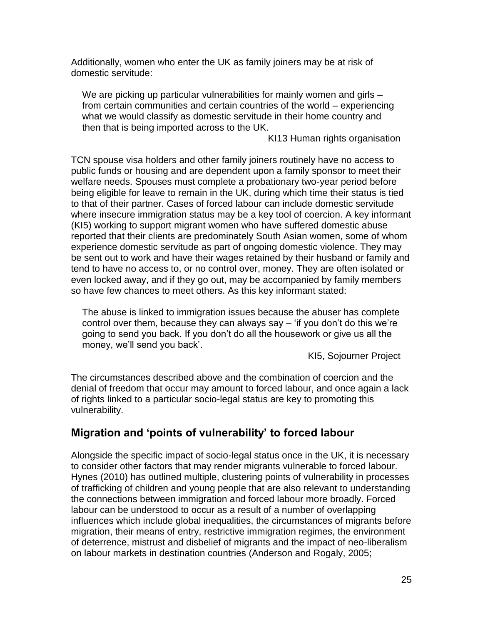Additionally, women who enter the UK as family joiners may be at risk of domestic servitude:

We are picking up particular vulnerabilities for mainly women and girls – from certain communities and certain countries of the world – experiencing what we would classify as domestic servitude in their home country and then that is being imported across to the UK.

KI13 Human rights organisation

TCN spouse visa holders and other family joiners routinely have no access to public funds or housing and are dependent upon a family sponsor to meet their welfare needs. Spouses must complete a probationary two-year period before being eligible for leave to remain in the UK, during which time their status is tied to that of their partner. Cases of forced labour can include domestic servitude where insecure immigration status may be a key tool of coercion. A key informant (KI5) working to support migrant women who have suffered domestic abuse reported that their clients are predominately South Asian women, some of whom experience domestic servitude as part of ongoing domestic violence. They may be sent out to work and have their wages retained by their husband or family and tend to have no access to, or no control over, money. They are often isolated or even locked away, and if they go out, may be accompanied by family members so have few chances to meet others. As this key informant stated:

The abuse is linked to immigration issues because the abuser has complete control over them, because they can always say – 'if you don't do this we're going to send you back. If you don't do all the housework or give us all the money, we'll send you back'.

KI5, Sojourner Project

The circumstances described above and the combination of coercion and the denial of freedom that occur may amount to forced labour, and once again a lack of rights linked to a particular socio-legal status are key to promoting this vulnerability.

### **Migration and 'points of vulnerability' to forced labour**

Alongside the specific impact of socio-legal status once in the UK, it is necessary to consider other factors that may render migrants vulnerable to forced labour. Hynes [\(2010\)](#page-36-8) has outlined multiple, clustering points of vulnerability in processes of trafficking of children and young people that are also relevant to understanding the connections between immigration and forced labour more broadly. Forced labour can be understood to occur as a result of a number of overlapping influences which include global inequalities, the circumstances of migrants before migration, their means of entry, restrictive immigration regimes, the environment of deterrence, mistrust and disbelief of migrants and the impact of neo-liberalism on labour markets in destination countries [\(Anderson and Rogaly, 2005;](#page-34-1)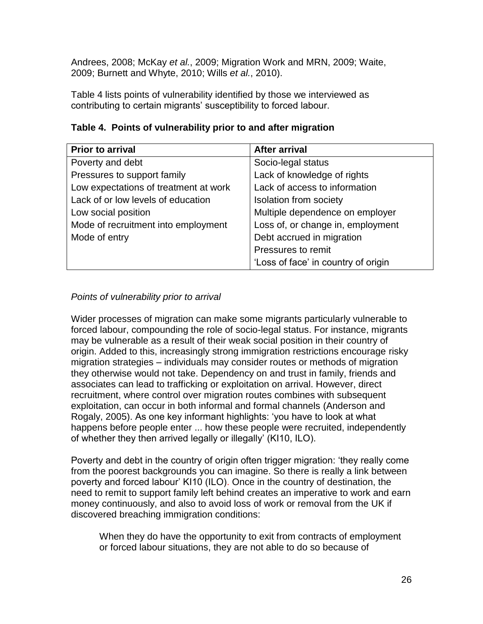[Andrees, 2008;](#page-34-9) [McKay](#page-37-11) *et al.*, 2009; [Migration Work and MRN, 2009;](#page-37-0) [Waite,](#page-38-8)  [2009;](#page-38-8) [Burnett and Whyte, 2010;](#page-34-4) Wills *et al.*[, 2010\)](#page-38-9).

Table 4 lists points of vulnerability identified by those we interviewed as contributing to certain migrants' susceptibility to forced labour.

| <b>Prior to arrival</b>               | <b>After arrival</b>                |
|---------------------------------------|-------------------------------------|
| Poverty and debt                      | Socio-legal status                  |
| Pressures to support family           | Lack of knowledge of rights         |
| Low expectations of treatment at work | Lack of access to information       |
| Lack of or low levels of education    | <b>Isolation from society</b>       |
| Low social position                   | Multiple dependence on employer     |
| Mode of recruitment into employment   | Loss of, or change in, employment   |
| Mode of entry                         | Debt accrued in migration           |
|                                       | Pressures to remit                  |
|                                       | 'Loss of face' in country of origin |

#### *Points of vulnerability prior to arrival*

Wider processes of migration can make some migrants particularly vulnerable to forced labour, compounding the role of socio-legal status. For instance, migrants may be vulnerable as a result of their weak social position in their country of origin. Added to this, increasingly strong immigration restrictions encourage risky migration strategies – individuals may consider routes or methods of migration they otherwise would not take. Dependency on and trust in family, friends and associates can lead to trafficking or exploitation on arrival. However, direct recruitment, where control over migration routes combines with subsequent exploitation, can occur in both informal and formal channels [\(Anderson and](#page-34-1)  [Rogaly, 2005\)](#page-34-1). As one key informant highlights: 'you have to look at what happens before people enter ... how these people were recruited, independently of whether they then arrived legally or illegally' (KI10, ILO).

Poverty and debt in the country of origin often trigger migration: 'they really come from the poorest backgrounds you can imagine. So there is really a link between poverty and forced labour' KI10 (ILO). Once in the country of destination, the need to remit to support family left behind creates an imperative to work and earn money continuously, and also to avoid loss of work or removal from the UK if discovered breaching immigration conditions:

When they do have the opportunity to exit from contracts of employment or forced labour situations, they are not able to do so because of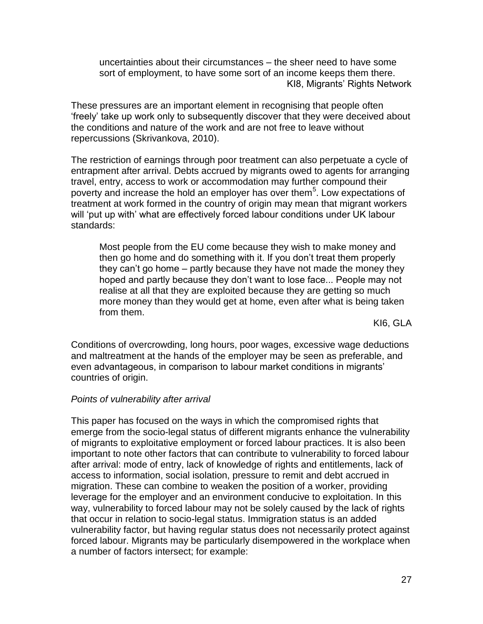uncertainties about their circumstances – the sheer need to have some sort of employment, to have some sort of an income keeps them there. KI8, Migrants' Rights Network

These pressures are an important element in recognising that people often 'freely' take up work only to subsequently discover that they were deceived about the conditions and nature of the work and are not free to leave without repercussions [\(Skrivankova, 2010\)](#page-38-0).

The restriction of earnings through poor treatment can also perpetuate a cycle of entrapment after arrival. Debts accrued by migrants owed to agents for arranging travel, entry, access to work or accommodation may further compound their poverty and increase the hold an employer has over them<sup>5</sup>. Low expectations of treatment at work formed in the country of origin may mean that migrant workers will 'put up with' what are effectively forced labour conditions under UK labour standards:

Most people from the EU come because they wish to make money and then go home and do something with it. If you don't treat them properly they can't go home – partly because they have not made the money they hoped and partly because they don't want to lose face... People may not realise at all that they are exploited because they are getting so much more money than they would get at home, even after what is being taken from them.

KI6, GLA

Conditions of overcrowding, long hours, poor wages, excessive wage deductions and maltreatment at the hands of the employer may be seen as preferable, and even advantageous, in comparison to labour market conditions in migrants' countries of origin.

#### *Points of vulnerability after arrival*

This paper has focused on the ways in which the compromised rights that emerge from the socio-legal status of different migrants enhance the vulnerability of migrants to exploitative employment or forced labour practices. It is also been important to note other factors that can contribute to vulnerability to forced labour after arrival: mode of entry, lack of knowledge of rights and entitlements, lack of access to information, social isolation, pressure to remit and debt accrued in migration. These can combine to weaken the position of a worker, providing leverage for the employer and an environment conducive to exploitation. In this way, vulnerability to forced labour may not be solely caused by the lack of rights that occur in relation to socio-legal status. Immigration status is an added vulnerability factor, but having regular status does not necessarily protect against forced labour. Migrants may be particularly disempowered in the workplace when a number of factors intersect; for example: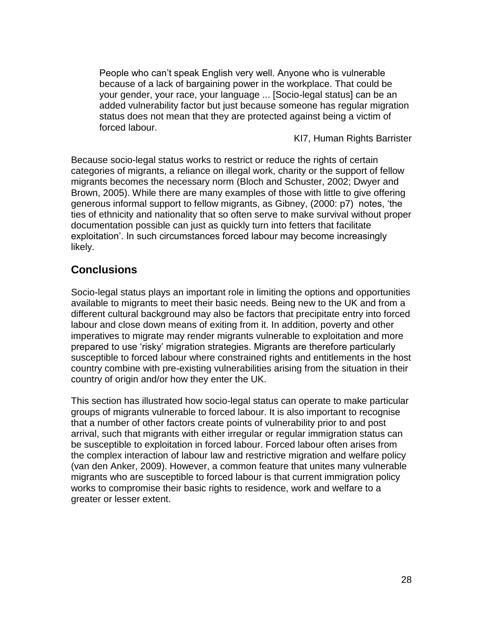People who can't speak English very well. Anyone who is vulnerable because of a lack of bargaining power in the workplace. That could be your gender, your race, your language ... [Socio-legal status] can be an added vulnerability factor but just because someone has regular migration status does not mean that they are protected against being a victim of forced labour.

KI7, Human Rights Barrister

Because socio-legal status works to restrict or reduce the rights of certain categories of migrants, a reliance on illegal work, charity or the support of fellow migrants becomes the necessary norm [\(Bloch and Schuster, 2002;](#page-34-10) [Dwyer and](#page-35-12)  [Brown, 2005\)](#page-35-12). While there are many examples of those with little to give offering generous informal support to fellow migrants, as Gibney, [\(2000: p7\)](#page-36-10) notes, 'the ties of ethnicity and nationality that so often serve to make survival without proper documentation possible can just as quickly turn into fetters that facilitate exploitation'. In such circumstances forced labour may become increasingly likely.

#### **Conclusions**

Socio-legal status plays an important role in limiting the options and opportunities available to migrants to meet their basic needs. Being new to the UK and from a different cultural background may also be factors that precipitate entry into forced labour and close down means of exiting from it. In addition, poverty and other imperatives to migrate may render migrants vulnerable to exploitation and more prepared to use 'risky' migration strategies. Migrants are therefore particularly susceptible to forced labour where constrained rights and entitlements in the host country combine with pre-existing vulnerabilities arising from the situation in their country of origin and/or how they enter the UK.

This section has illustrated how socio-legal status can operate to make particular groups of migrants vulnerable to forced labour. It is also important to recognise that a number of other factors create points of vulnerability prior to and post arrival, such that migrants with either irregular or regular immigration status can be susceptible to exploitation in forced labour. Forced labour often arises from the complex interaction of labour law and restrictive migration and welfare policy (van den Anker, 2009). However, a common feature that unites many vulnerable migrants who are susceptible to forced labour is that current immigration policy works to compromise their basic rights to residence, work and welfare to a greater or lesser extent.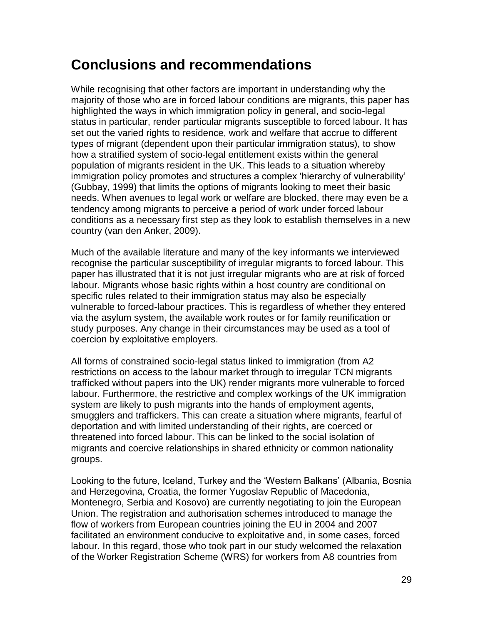## **Conclusions and recommendations**

While recognising that other factors are important in understanding why the majority of those who are in forced labour conditions are migrants, this paper has highlighted the ways in which immigration policy in general, and socio-legal status in particular, render particular migrants susceptible to forced labour. It has set out the varied rights to residence, work and welfare that accrue to different types of migrant (dependent upon their particular immigration status), to show how a stratified system of socio-legal entitlement exists within the general population of migrants resident in the UK. This leads to a situation whereby immigration policy promotes and structures a complex 'hierarchy of vulnerability' [\(Gubbay, 1999\)](#page-36-0) that limits the options of migrants looking to meet their basic needs. When avenues to legal work or welfare are blocked, there may even be a tendency among migrants to perceive a period of work under forced labour conditions as a necessary first step as they look to establish themselves in a new country (van den Anker, 2009).

Much of the available literature and many of the key informants we interviewed recognise the particular susceptibility of irregular migrants to forced labour. This paper has illustrated that it is not just irregular migrants who are at risk of forced labour. Migrants whose basic rights within a host country are conditional on specific rules related to their immigration status may also be especially vulnerable to forced-labour practices. This is regardless of whether they entered via the asylum system, the available work routes or for family reunification or study purposes. Any change in their circumstances may be used as a tool of coercion by exploitative employers.

All forms of constrained socio-legal status linked to immigration (from A2 restrictions on access to the labour market through to irregular TCN migrants trafficked without papers into the UK) render migrants more vulnerable to forced labour. Furthermore, the restrictive and complex workings of the UK immigration system are likely to push migrants into the hands of employment agents, smugglers and traffickers. This can create a situation where migrants, fearful of deportation and with limited understanding of their rights, are coerced or threatened into forced labour. This can be linked to the social isolation of migrants and coercive relationships in shared ethnicity or common nationality groups.

Looking to the future, Iceland, Turkey and the 'Western Balkans' (Albania, Bosnia and Herzegovina, Croatia, the former Yugoslav Republic of Macedonia, Montenegro, Serbia and Kosovo) are currently negotiating to join the European Union. The registration and authorisation schemes introduced to manage the flow of workers from European countries joining the EU in 2004 and 2007 facilitated an environment conducive to exploitative and, in some cases, forced labour. In this regard, those who took part in our study welcomed the relaxation of the Worker Registration Scheme (WRS) for workers from A8 countries from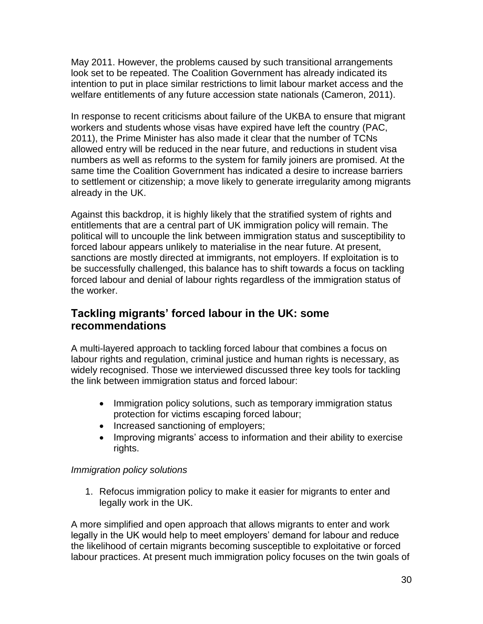May 2011. However, the problems caused by such transitional arrangements look set to be repeated. The Coalition Government has already indicated its intention to put in place similar restrictions to limit labour market access and the welfare entitlements of any future accession state nationals (Cameron, 2011).

In response to recent criticisms about failure of the UKBA to ensure that migrant workers and students whose visas have expired have left the country [\(PAC,](#page-37-12)  [2011\)](#page-37-12), the Prime Minister has also made it clear that the number of TCNs allowed entry will be reduced in the near future, and reductions in student visa numbers as well as reforms to the system for family joiners are promised. At the same time the Coalition Government has indicated a desire to increase barriers to settlement or citizenship; a move likely to generate irregularity among migrants already in the UK.

Against this backdrop, it is highly likely that the stratified system of rights and entitlements that are a central part of UK immigration policy will remain. The political will to uncouple the link between immigration status and susceptibility to forced labour appears unlikely to materialise in the near future. At present, sanctions are mostly directed at immigrants, not employers. If exploitation is to be successfully challenged, this balance has to shift towards a focus on tackling forced labour and denial of labour rights regardless of the immigration status of the worker.

#### **Tackling migrants' forced labour in the UK: some recommendations**

A multi-layered approach to tackling forced labour that combines a focus on labour rights and regulation, criminal justice and human rights is necessary, as widely recognised. Those we interviewed discussed three key tools for tackling the link between immigration status and forced labour:

- Immigration policy solutions, such as temporary immigration status protection for victims escaping forced labour;
- Increased sanctioning of employers;
- Improving migrants' access to information and their ability to exercise rights.

#### *Immigration policy solutions*

1. Refocus immigration policy to make it easier for migrants to enter and legally work in the UK.

A more simplified and open approach that allows migrants to enter and work legally in the UK would help to meet employers' demand for labour and reduce the likelihood of certain migrants becoming susceptible to exploitative or forced labour practices. At present much immigration policy focuses on the twin goals of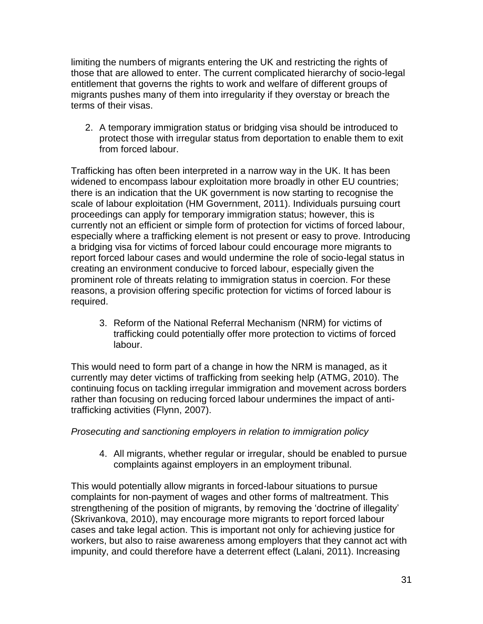limiting the numbers of migrants entering the UK and restricting the rights of those that are allowed to enter. The current complicated hierarchy of socio-legal entitlement that governs the rights to work and welfare of different groups of migrants pushes many of them into irregularity if they overstay or breach the terms of their visas.

2. A temporary immigration status or bridging visa should be introduced to protect those with irregular status from deportation to enable them to exit from forced labour.

Trafficking has often been interpreted in a narrow way in the UK. It has been widened to encompass labour exploitation more broadly in other EU countries; there is an indication that the UK government is now starting to recognise the scale of labour exploitation [\(HM Government, 2011\)](#page-36-11). Individuals pursuing court proceedings can apply for temporary immigration status; however, this is currently not an efficient or simple form of protection for victims of forced labour, especially where a trafficking element is not present or easy to prove. Introducing a bridging visa for victims of forced labour could encourage more migrants to report forced labour cases and would undermine the role of socio-legal status in creating an environment conducive to forced labour, especially given the prominent role of threats relating to immigration status in coercion. For these reasons, a provision offering specific protection for victims of forced labour is required.

3. Reform of the National Referral Mechanism (NRM) for victims of trafficking could potentially offer more protection to victims of forced labour.

This would need to form part of a change in how the NRM is managed, as it currently may deter victims of trafficking from seeking help [\(ATMG, 2010\)](#page-34-2). The continuing focus on tackling irregular immigration and movement across borders rather than focusing on reducing forced labour undermines the impact of antitrafficking activities [\(Flynn, 2007\)](#page-36-9).

#### *Prosecuting and sanctioning employers in relation to immigration policy*

4. All migrants, whether regular or irregular, should be enabled to pursue complaints against employers in an employment tribunal.

This would potentially allow migrants in forced-labour situations to pursue complaints for non-payment of wages and other forms of maltreatment. This strengthening of the position of migrants, by removing the 'doctrine of illegality' [\(Skrivankova, 2010\)](#page-38-0), may encourage more migrants to report forced labour cases and take legal action. This is important not only for achieving justice for workers, but also to raise awareness among employers that they cannot act with impunity, and could therefore have a deterrent effect [\(Lalani, 2011\)](#page-37-4). Increasing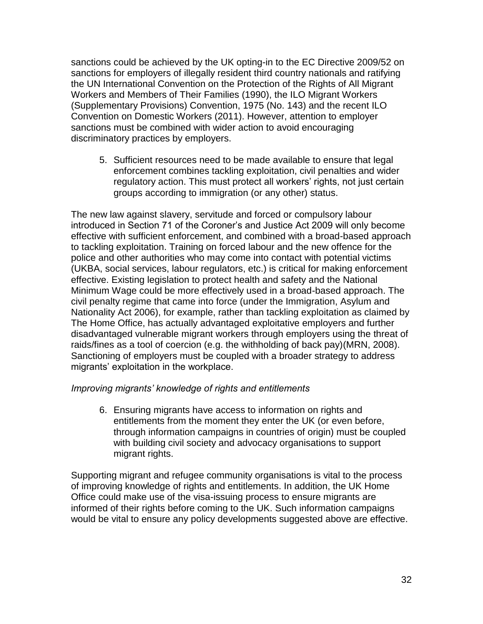sanctions could be achieved by the UK opting-in to the EC Directive 2009/52 on sanctions for employers of illegally resident third country nationals and ratifying the UN International Convention on the Protection of the Rights of All Migrant Workers and Members of Their Families (1990), the ILO Migrant Workers (Supplementary Provisions) Convention, 1975 (No. 143) and the recent ILO Convention on Domestic Workers (2011). However, attention to employer sanctions must be combined with wider action to avoid encouraging discriminatory practices by employers.

5. Sufficient resources need to be made available to ensure that legal enforcement combines tackling exploitation, civil penalties and wider regulatory action. This must protect all workers' rights, not just certain groups according to immigration (or any other) status.

The new law against slavery, servitude and forced or compulsory labour introduced in Section 71 of the Coroner's and Justice Act 2009 will only become effective with sufficient enforcement, and combined with a broad-based approach to tackling exploitation. Training on forced labour and the new offence for the police and other authorities who may come into contact with potential victims (UKBA, social services, labour regulators, etc.) is critical for making enforcement effective. Existing legislation to protect health and safety and the National Minimum Wage could be more effectively used in a broad-based approach. The civil penalty regime that came into force (under the Immigration, Asylum and Nationality Act 2006), for example, rather than tackling exploitation as claimed by The Home Office, has actually advantaged exploitative employers and further disadvantaged vulnerable migrant workers through employers using the threat of raids/fines as a tool of coercion (e.g. the withholding of back pay)[\(MRN, 2008\)](#page-37-13). Sanctioning of employers must be coupled with a broader strategy to address migrants' exploitation in the workplace.

#### *Improving migrants' knowledge of rights and entitlements*

6. Ensuring migrants have access to information on rights and entitlements from the moment they enter the UK (or even before, through information campaigns in countries of origin) must be coupled with building civil society and advocacy organisations to support migrant rights.

Supporting migrant and refugee community organisations is vital to the process of improving knowledge of rights and entitlements. In addition, the UK Home Office could make use of the visa-issuing process to ensure migrants are informed of their rights before coming to the UK. Such information campaigns would be vital to ensure any policy developments suggested above are effective.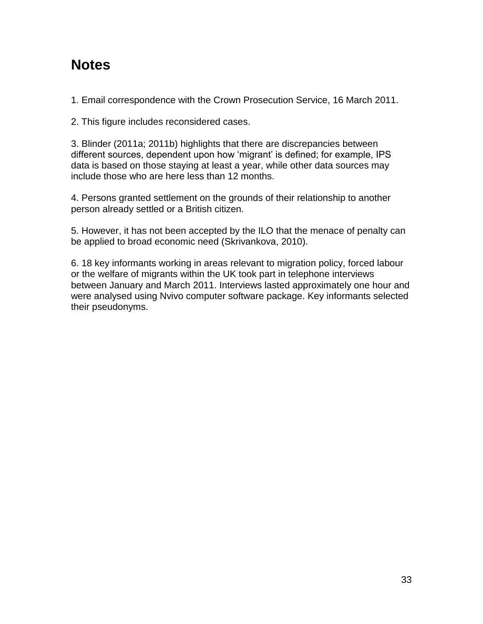## **Notes**

1. Email correspondence with the Crown Prosecution Service, 16 March 2011.

2. This figure includes reconsidered cases.

3. Blinder [\(2011a;](#page-34-8) [2011b\)](#page-34-7) highlights that there are discrepancies between different sources, dependent upon how 'migrant' is defined; for example, IPS data is based on those staying at least a year, while other data sources may include those who are here less than 12 months.

4. Persons granted settlement on the grounds of their relationship to another person already settled or a British citizen.

5. However, it has not been accepted by the ILO that the menace of penalty can be applied to broad economic need (Skrivankova, 2010).

6. 18 key informants working in areas relevant to migration policy, forced labour or the welfare of migrants within the UK took part in telephone interviews between January and March 2011. Interviews lasted approximately one hour and were analysed using Nvivo computer software package. Key informants selected their pseudonyms.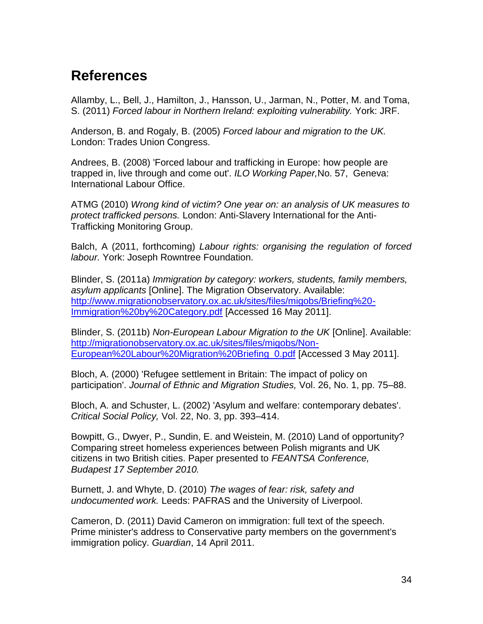## **References**

<span id="page-34-3"></span>Allamby, L., Bell, J., Hamilton, J., Hansson, U., Jarman, N., Potter, M. and Toma, S. (2011) *Forced labour in Northern Ireland: exploiting vulnerability.* York: JRF.

<span id="page-34-1"></span>Anderson, B. and Rogaly, B. (2005) *Forced labour and migration to the UK.*  London: Trades Union Congress.

<span id="page-34-9"></span>Andrees, B. (2008) 'Forced labour and trafficking in Europe: how people are trapped in, live through and come out'. *ILO Working Paper,*No. 57, Geneva: International Labour Office.

<span id="page-34-2"></span>ATMG (2010) *Wrong kind of victim? One year on: an analysis of UK measures to protect trafficked persons.* London: Anti-Slavery International for the Anti-Trafficking Monitoring Group.

<span id="page-34-8"></span>Balch, A (2011, forthcoming) *Labour rights: organising the regulation of forced labour.* York: Joseph Rowntree Foundation.

Blinder, S. (2011a) *Immigration by category: workers, students, family members, asylum applicants* [Online]. The Migration Observatory. Available: [http://www.migrationobservatory.ox.ac.uk/sites/files/migobs/Briefing%20-](http://www.migrationobservatory.ox.ac.uk/sites/files/migobs/Briefing%20-Immigration%20by%20Category.pdf) [Immigration%20by%20Category.pdf](http://www.migrationobservatory.ox.ac.uk/sites/files/migobs/Briefing%20-Immigration%20by%20Category.pdf) [Accessed 16 May 2011].

<span id="page-34-7"></span>Blinder, S. (2011b) *Non-European Labour Migration to the UK* [Online]. Available: [http://migrationobservatory.ox.ac.uk/sites/files/migobs/Non-](http://migrationobservatory.ox.ac.uk/sites/files/migobs/Non-European%20Labour%20Migration%20Briefing_0.pdf)[European%20Labour%20Migration%20Briefing\\_0.pdf](http://migrationobservatory.ox.ac.uk/sites/files/migobs/Non-European%20Labour%20Migration%20Briefing_0.pdf) [Accessed 3 May 2011].

<span id="page-34-0"></span>Bloch, A. (2000) 'Refugee settlement in Britain: The impact of policy on participation'. *Journal of Ethnic and Migration Studies,* Vol. 26, No. 1, pp. 75–88.

<span id="page-34-10"></span>Bloch, A. and Schuster, L. (2002) 'Asylum and welfare: contemporary debates'. *Critical Social Policy,* Vol. 22, No. 3, pp. 393–414.

<span id="page-34-6"></span>Bowpitt, G., Dwyer, P., Sundin, E. and Weistein, M. (2010) Land of opportunity? Comparing street homeless experiences between Polish migrants and UK citizens in two British cities. Paper presented to *FEANTSA Conference, Budapest 17 September 2010.*

<span id="page-34-4"></span>Burnett, J. and Whyte, D. (2010) *The wages of fear: risk, safety and undocumented work.* Leeds: PAFRAS and the University of Liverpool.

<span id="page-34-5"></span>Cameron, D. (2011) David Cameron on immigration: full text of the speech. Prime minister's address to Conservative party members on the government's immigration policy. *Guardian*, 14 April 2011.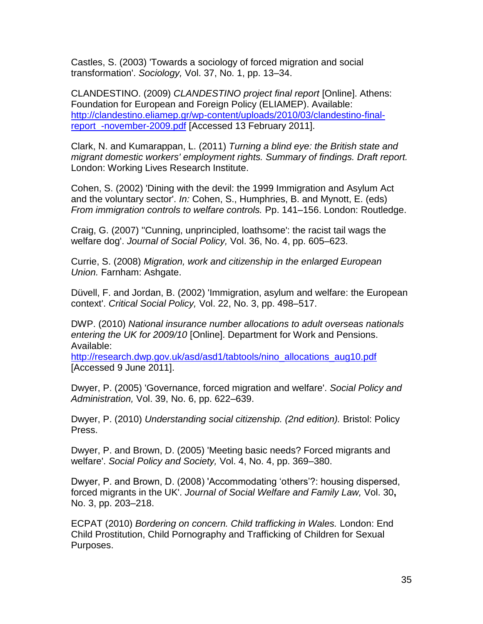<span id="page-35-11"></span>Castles, S. (2003) 'Towards a sociology of forced migration and social transformation'. *Sociology,* Vol. 37, No. 1, pp. 13–34.

<span id="page-35-8"></span>CLANDESTINO. (2009) *CLANDESTINO project final report* [Online]. Athens: Foundation for European and Foreign Policy (ELIAMEP). Available: [http://clandestino.eliamep.gr/wp-content/uploads/2010/03/clandestino-final](http://clandestino.eliamep.gr/wp-content/uploads/2010/03/clandestino-final-report_-november-2009.pdf)[report\\_-november-2009.pdf](http://clandestino.eliamep.gr/wp-content/uploads/2010/03/clandestino-final-report_-november-2009.pdf) [Accessed 13 February 2011].

<span id="page-35-9"></span>Clark, N. and Kumarappan, L. (2011) *Turning a blind eye: the British state and migrant domestic workers' employment rights. Summary of findings. Draft report.*  London: Working Lives Research Institute.

<span id="page-35-3"></span>Cohen, S. (2002) 'Dining with the devil: the 1999 Immigration and Asylum Act and the voluntary sector'. *In:* Cohen, S., Humphries, B. and Mynott, E. (eds) *From immigration controls to welfare controls.* Pp. 141–156. London: Routledge.

<span id="page-35-1"></span>Craig, G. (2007) ''Cunning, unprincipled, loathsome': the racist tail wags the welfare dog'. *Journal of Social Policy,* Vol. 36, No. 4, pp. 605–623.

<span id="page-35-7"></span>Currie, S. (2008) *Migration, work and citizenship in the enlarged European Union.* Farnham: Ashgate.

<span id="page-35-5"></span>Düvell, F. and Jordan, B. (2002) 'Immigration, asylum and welfare: the European context'. *Critical Social Policy,* Vol. 22, No. 3, pp. 498–517.

<span id="page-35-10"></span>DWP. (2010) *National insurance number allocations to adult overseas nationals entering the UK for 2009/10* [Online]. Department for Work and Pensions. Available:

[http://research.dwp.gov.uk/asd/asd1/tabtools/nino\\_allocations\\_aug10.pdf](http://research.dwp.gov.uk/asd/asd1/tabtools/nino_allocations_aug10.pdf) [Accessed 9 June 2011].

<span id="page-35-0"></span>Dwyer, P. (2005) 'Governance, forced migration and welfare'. *Social Policy and Administration,* Vol. 39, No. 6, pp. 622–639.

<span id="page-35-4"></span>Dwyer, P. (2010) *Understanding social citizenship. (2nd edition).* Bristol: Policy Press.

<span id="page-35-12"></span>Dwyer, P. and Brown, D. (2005) 'Meeting basic needs? Forced migrants and welfare'. *Social Policy and Society,* Vol. 4, No. 4, pp. 369–380.

<span id="page-35-6"></span>Dwyer, P. and Brown, D. (2008) 'Accommodating 'others'?: housing dispersed, forced migrants in the UK'. *Journal of Social Welfare and Family Law,* Vol. 30**,**  No. 3, pp. 203–218.

<span id="page-35-2"></span>ECPAT (2010) *Bordering on concern. Child trafficking in Wales.* London: End Child Prostitution, Child Pornography and Trafficking of Children for Sexual Purposes.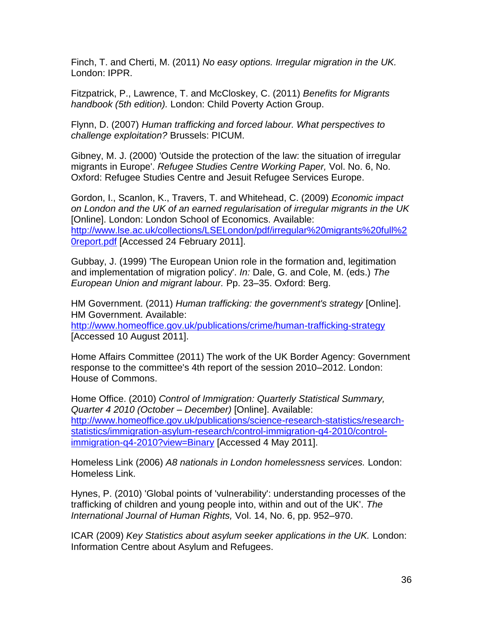<span id="page-36-3"></span>Finch, T. and Cherti, M. (2011) *No easy options. Irregular migration in the UK.*  London: IPPR.

<span id="page-36-1"></span>Fitzpatrick, P., Lawrence, T. and McCloskey, C. (2011) *Benefits for Migrants handbook (5th edition).* London: Child Poverty Action Group.

<span id="page-36-9"></span>Flynn, D. (2007) *Human trafficking and forced labour. What perspectives to challenge exploitation?* Brussels: PICUM.

<span id="page-36-10"></span>Gibney, M. J. (2000) 'Outside the protection of the law: the situation of irregular migrants in Europe'. *Refugee Studies Centre Working Paper,* Vol. No. 6, No. Oxford: Refugee Studies Centre and Jesuit Refugee Services Europe.

<span id="page-36-7"></span>Gordon, I., Scanlon, K., Travers, T. and Whitehead, C. (2009) *Economic impact on London and the UK of an earned regularisation of irregular migrants in the UK*  [Online]. London: London School of Economics. Available: [http://www.lse.ac.uk/collections/LSELondon/pdf/irregular%20migrants%20full%2](http://www.lse.ac.uk/collections/LSELondon/pdf/irregular%20migrants%20full%20report.pdf) [0report.pdf](http://www.lse.ac.uk/collections/LSELondon/pdf/irregular%20migrants%20full%20report.pdf) [Accessed 24 February 2011].

<span id="page-36-0"></span>Gubbay, J. (1999) 'The European Union role in the formation and, legitimation and implementation of migration policy'. *In:* Dale, G. and Cole, M. (eds.) *The European Union and migrant labour.* Pp. 23–35. Oxford: Berg.

<span id="page-36-11"></span>HM Government. (2011) *Human trafficking: the government's strategy* [Online]. HM Government. Available:

<http://www.homeoffice.gov.uk/publications/crime/human-trafficking-strategy> [Accessed 10 August 2011].

<span id="page-36-5"></span>Home Affairs Committee (2011) The work of the UK Border Agency: Government response to the committee's 4th report of the session 2010–2012. London: House of Commons.

<span id="page-36-6"></span>Home Office. (2010) *Control of Immigration: Quarterly Statistical Summary, Quarter 4 2010 (October – December)* [Online]. Available: [http://www.homeoffice.gov.uk/publications/science-research-statistics/research](http://www.homeoffice.gov.uk/publications/science-research-statistics/research-statistics/immigration-asylum-research/control-immigration-q4-2010/control-immigration-q4-2010?view=Binary)[statistics/immigration-asylum-research/control-immigration-q4-2010/control](http://www.homeoffice.gov.uk/publications/science-research-statistics/research-statistics/immigration-asylum-research/control-immigration-q4-2010/control-immigration-q4-2010?view=Binary)[immigration-q4-2010?view=Binary](http://www.homeoffice.gov.uk/publications/science-research-statistics/research-statistics/immigration-asylum-research/control-immigration-q4-2010/control-immigration-q4-2010?view=Binary) [Accessed 4 May 2011].

<span id="page-36-2"></span>Homeless Link (2006) *A8 nationals in London homelessness services.* London: Homeless Link.

<span id="page-36-8"></span>Hynes, P. (2010) 'Global points of 'vulnerability': understanding processes of the trafficking of children and young people into, within and out of the UK'. *The International Journal of Human Rights,* Vol. 14, No. 6, pp. 952–970.

<span id="page-36-4"></span>ICAR (2009) *Key Statistics about asylum seeker applications in the UK.* London: Information Centre about Asylum and Refugees.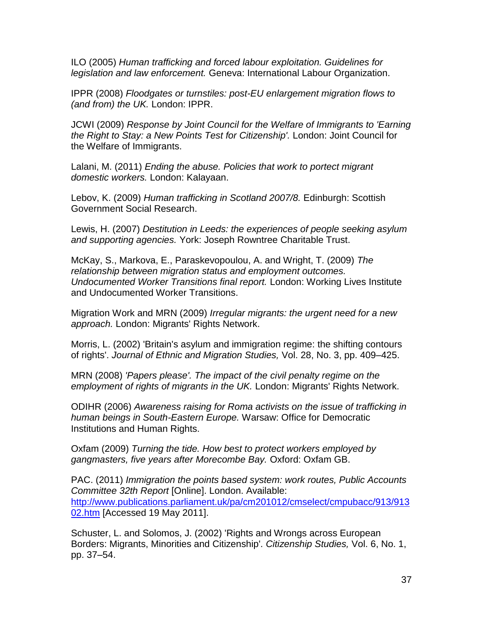<span id="page-37-1"></span>ILO (2005) *Human trafficking and forced labour exploitation. Guidelines for legislation and law enforcement.* Geneva: International Labour Organization.

<span id="page-37-7"></span>IPPR (2008) *Floodgates or turnstiles: post-EU enlargement migration flows to (and from) the UK.* London: IPPR.

<span id="page-37-6"></span>JCWI (2009) *Response by Joint Council for the Welfare of Immigrants to 'Earning the Right to Stay: a New Points Test for Citizenship'.* London: Joint Council for the Welfare of Immigrants.

<span id="page-37-4"></span>Lalani, M. (2011) *Ending the abuse. Policies that work to portect migrant domestic workers.* London: Kalayaan.

<span id="page-37-3"></span>Lebov, K. (2009) *Human trafficking in Scotland 2007/8.* Edinburgh: Scottish Government Social Research.

<span id="page-37-5"></span>Lewis, H. (2007) *Destitution in Leeds: the experiences of people seeking asylum and supporting agencies.* York: Joseph Rowntree Charitable Trust.

<span id="page-37-11"></span>McKay, S., Markova, E., Paraskevopoulou, A. and Wright, T. (2009) *The relationship between migration status and employment outcomes. Undocumented Worker Transitions final report.* London: Working Lives Institute and Undocumented Worker Transitions.

<span id="page-37-0"></span>Migration Work and MRN (2009) *Irregular migrants: the urgent need for a new approach.* London: Migrants' Rights Network.

<span id="page-37-8"></span>Morris, L. (2002) 'Britain's asylum and immigration regime: the shifting contours of rights'. *Journal of Ethnic and Migration Studies,* Vol. 28, No. 3, pp. 409–425.

<span id="page-37-13"></span>MRN (2008) *'Papers please'. The impact of the civil penalty regime on the employment of rights of migrants in the UK.* London: Migrants' Rights Network.

<span id="page-37-10"></span>ODIHR (2006) *Awareness raising for Roma activists on the issue of trafficking in human beings in South-Eastern Europe.* Warsaw: Office for Democratic Institutions and Human Rights.

<span id="page-37-2"></span>Oxfam (2009) *Turning the tide. How best to protect workers employed by gangmasters, five years after Morecombe Bay.* Oxford: Oxfam GB.

<span id="page-37-12"></span>PAC. (2011) *Immigration the points based system: work routes, Public Accounts Committee 32th Report* [Online]. London. Available: [http://www.publications.parliament.uk/pa/cm201012/cmselect/cmpubacc/913/913](http://www.publications.parliament.uk/pa/cm201012/cmselect/cmpubacc/913/91302.htm) [02.htm](http://www.publications.parliament.uk/pa/cm201012/cmselect/cmpubacc/913/91302.htm) [Accessed 19 May 2011].

<span id="page-37-9"></span>Schuster, L. and Solomos, J. (2002) 'Rights and Wrongs across European Borders: Migrants, Minorities and Citizenship'. *Citizenship Studies,* Vol. 6, No. 1, pp. 37–54.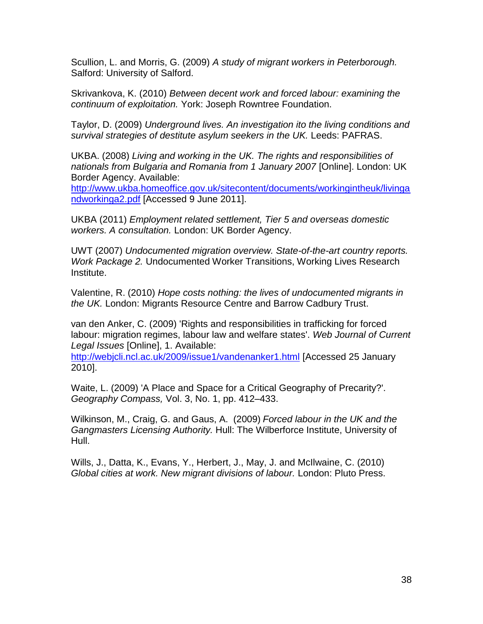<span id="page-38-2"></span>Scullion, L. and Morris, G. (2009) *A study of migrant workers in Peterborough.*  Salford: University of Salford.

<span id="page-38-0"></span>Skrivankova, K. (2010) *Between decent work and forced labour: examining the continuum of exploitation.* York: Joseph Rowntree Foundation.

<span id="page-38-5"></span>Taylor, D. (2009) *Underground lives. An investigation ito the living conditions and survival strategies of destitute asylum seekers in the UK.* Leeds: PAFRAS.

<span id="page-38-7"></span>UKBA. (2008) *Living and working in the UK. The rights and responsibilities of nationals from Bulgaria and Romania from 1 January 2007* [Online]. London: UK Border Agency. Available:

[http://www.ukba.homeoffice.gov.uk/sitecontent/documents/workingintheuk/livinga](http://www.ukba.homeoffice.gov.uk/sitecontent/documents/workingintheuk/livingandworkinga2.pdf) [ndworkinga2.pdf](http://www.ukba.homeoffice.gov.uk/sitecontent/documents/workingintheuk/livingandworkinga2.pdf) [Accessed 9 June 2011].

<span id="page-38-6"></span>UKBA (2011) *Employment related settlement, Tier 5 and overseas domestic workers. A consultation.* London: UK Border Agency.

<span id="page-38-3"></span>UWT (2007) *Undocumented migration overview. State-of-the-art country reports. Work Package 2.* Undocumented Worker Transitions, Working Lives Research Institute.

<span id="page-38-4"></span>Valentine, R. (2010) *Hope costs nothing: the lives of undocumented migrants in the UK.* London: Migrants Resource Centre and Barrow Cadbury Trust.

<span id="page-38-1"></span>van den Anker, C. (2009) 'Rights and responsibilities in trafficking for forced labour: migration regimes, labour law and welfare states'. *Web Journal of Current Legal Issues* [Online], 1. Available:

<http://webjcli.ncl.ac.uk/2009/issue1/vandenanker1.html> [Accessed 25 January 2010].

<span id="page-38-8"></span>Waite, L. (2009) 'A Place and Space for a Critical Geography of Precarity?'. *Geography Compass,* Vol. 3, No. 1, pp. 412–433.

<span id="page-38-9"></span>Wilkinson, M., Craig, G. and Gaus, A. (2009) *Forced labour in the UK and the Gangmasters Licensing Authority.* Hull: The Wilberforce Institute, University of Hull.

Wills, J., Datta, K., Evans, Y., Herbert, J., May, J. and McIlwaine, C. (2010) *Global cities at work. New migrant divisions of labour.* London: Pluto Press.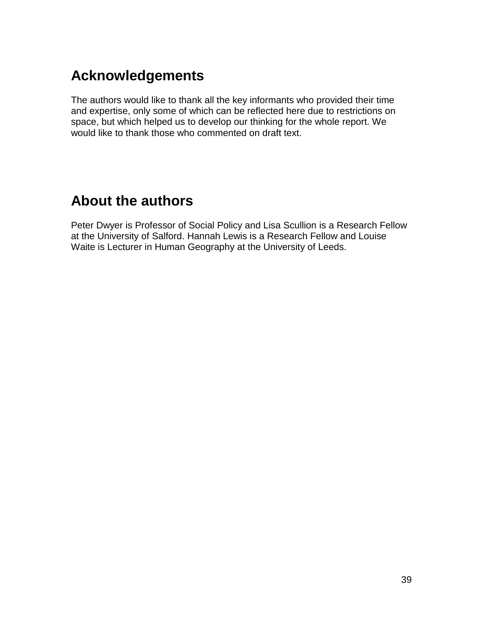## **Acknowledgements**

The authors would like to thank all the key informants who provided their time and expertise, only some of which can be reflected here due to restrictions on space, but which helped us to develop our thinking for the whole report. We would like to thank those who commented on draft text.

## **About the authors**

Peter Dwyer is Professor of Social Policy and Lisa Scullion is a Research Fellow at the University of Salford. Hannah Lewis is a Research Fellow and Louise Waite is Lecturer in Human Geography at the University of Leeds.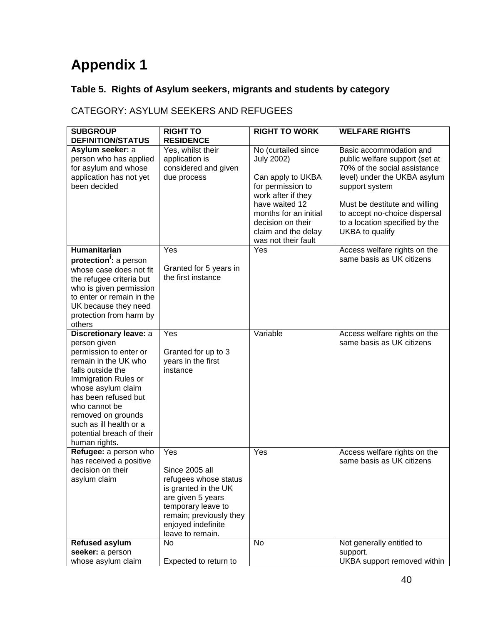# **Appendix 1**

## **Table 5. Rights of Asylum seekers, migrants and students by category**

### CATEGORY: ASYLUM SEEKERS AND REFUGEES

| <b>SUBGROUP</b>                                | <b>RIGHT TO</b>                               | <b>RIGHT TO WORK</b>                                                                                       | <b>WELFARE RIGHTS</b>                                                                                               |
|------------------------------------------------|-----------------------------------------------|------------------------------------------------------------------------------------------------------------|---------------------------------------------------------------------------------------------------------------------|
| <b>DEFINITION/STATUS</b><br>Asylum seeker: a   | <b>RESIDENCE</b><br>Yes, whilst their         | No (curtailed since                                                                                        | Basic accommodation and                                                                                             |
| person who has applied<br>for asylum and whose | application is<br>considered and given        | <b>July 2002)</b>                                                                                          | public welfare support (set at<br>70% of the social assistance                                                      |
| application has not yet<br>been decided        | due process                                   | Can apply to UKBA<br>for permission to<br>work after if they                                               | level) under the UKBA asylum<br>support system                                                                      |
|                                                |                                               | have waited 12<br>months for an initial<br>decision on their<br>claim and the delay<br>was not their fault | Must be destitute and willing<br>to accept no-choice dispersal<br>to a location specified by the<br>UKBA to qualify |
| <b>Humanitarian</b>                            | Yes                                           | Yes                                                                                                        | Access welfare rights on the                                                                                        |
| protection: a person                           |                                               |                                                                                                            | same basis as UK citizens                                                                                           |
| whose case does not fit                        | Granted for 5 years in                        |                                                                                                            |                                                                                                                     |
| the refugee criteria but                       | the first instance                            |                                                                                                            |                                                                                                                     |
| who is given permission                        |                                               |                                                                                                            |                                                                                                                     |
| to enter or remain in the                      |                                               |                                                                                                            |                                                                                                                     |
| UK because they need                           |                                               |                                                                                                            |                                                                                                                     |
| protection from harm by                        |                                               |                                                                                                            |                                                                                                                     |
| others<br>Discretionary leave: a               | Yes                                           | Variable                                                                                                   | Access welfare rights on the                                                                                        |
| person given                                   |                                               |                                                                                                            | same basis as UK citizens                                                                                           |
| permission to enter or                         | Granted for up to 3                           |                                                                                                            |                                                                                                                     |
| remain in the UK who                           | years in the first                            |                                                                                                            |                                                                                                                     |
| falls outside the                              | instance                                      |                                                                                                            |                                                                                                                     |
| Immigration Rules or                           |                                               |                                                                                                            |                                                                                                                     |
| whose asylum claim                             |                                               |                                                                                                            |                                                                                                                     |
| has been refused but                           |                                               |                                                                                                            |                                                                                                                     |
| who cannot be                                  |                                               |                                                                                                            |                                                                                                                     |
| removed on grounds<br>such as ill health or a  |                                               |                                                                                                            |                                                                                                                     |
| potential breach of their                      |                                               |                                                                                                            |                                                                                                                     |
| human rights.                                  |                                               |                                                                                                            |                                                                                                                     |
| Refugee: a person who                          | Yes                                           | Yes                                                                                                        | Access welfare rights on the                                                                                        |
| has received a positive                        |                                               |                                                                                                            | same basis as UK citizens                                                                                           |
| decision on their                              | Since 2005 all                                |                                                                                                            |                                                                                                                     |
| asylum claim                                   | refugees whose status                         |                                                                                                            |                                                                                                                     |
|                                                | is granted in the UK                          |                                                                                                            |                                                                                                                     |
|                                                | are given 5 years                             |                                                                                                            |                                                                                                                     |
|                                                | temporary leave to                            |                                                                                                            |                                                                                                                     |
|                                                | remain; previously they<br>enjoyed indefinite |                                                                                                            |                                                                                                                     |
|                                                | leave to remain.                              |                                                                                                            |                                                                                                                     |
| <b>Refused asylum</b>                          | No                                            | <b>No</b>                                                                                                  | Not generally entitled to                                                                                           |
| seeker: a person                               |                                               |                                                                                                            | support.                                                                                                            |
| whose asylum claim                             | Expected to return to                         |                                                                                                            | UKBA support removed within                                                                                         |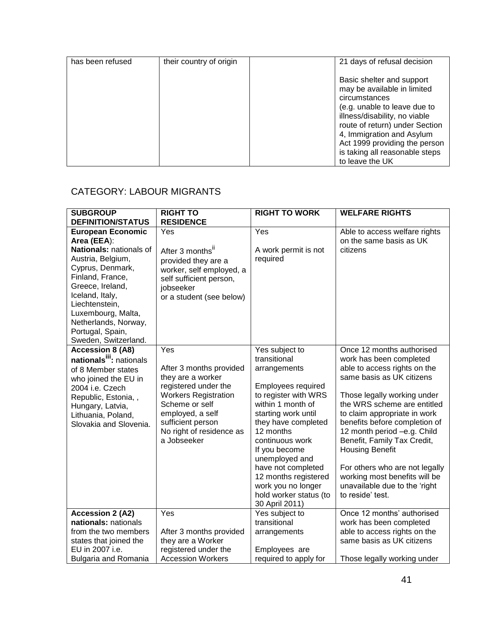| has been refused | their country of origin | 21 days of refusal decision                                                                                                                                                                                                                                                                     |
|------------------|-------------------------|-------------------------------------------------------------------------------------------------------------------------------------------------------------------------------------------------------------------------------------------------------------------------------------------------|
|                  |                         | Basic shelter and support<br>may be available in limited<br>circumstances<br>(e.g. unable to leave due to<br>illness/disability, no viable<br>route of return) under Section<br>4, Immigration and Asylum<br>Act 1999 providing the person<br>is taking all reasonable steps<br>to leave the UK |

#### CATEGORY: LABOUR MIGRANTS

| <b>SUBGROUP</b><br><b>DEFINITION/STATUS</b>                                                                                                                                                                                  | <b>RIGHT TO</b><br><b>RESIDENCE</b>                                                                                                                                                                              | <b>RIGHT TO WORK</b>                                                                                                                                                                                                                                                                                                                               | <b>WELFARE RIGHTS</b>                                                                                                                                                                                                                                                                                                                                                                                                                                            |
|------------------------------------------------------------------------------------------------------------------------------------------------------------------------------------------------------------------------------|------------------------------------------------------------------------------------------------------------------------------------------------------------------------------------------------------------------|----------------------------------------------------------------------------------------------------------------------------------------------------------------------------------------------------------------------------------------------------------------------------------------------------------------------------------------------------|------------------------------------------------------------------------------------------------------------------------------------------------------------------------------------------------------------------------------------------------------------------------------------------------------------------------------------------------------------------------------------------------------------------------------------------------------------------|
| <b>European Economic</b><br>Area (EEA):<br>Nationals: nationals of                                                                                                                                                           | Yes<br>After 3 months <sup>ii</sup>                                                                                                                                                                              | Yes<br>A work permit is not                                                                                                                                                                                                                                                                                                                        | Able to access welfare rights<br>on the same basis as UK<br>citizens                                                                                                                                                                                                                                                                                                                                                                                             |
| Austria, Belgium,<br>Cyprus, Denmark,<br>Finland, France,<br>Greece, Ireland,<br>Iceland, Italy,<br>Liechtenstein,<br>Luxembourg, Malta,<br>Netherlands, Norway,<br>Portugal, Spain,<br>Sweden, Switzerland.                 | provided they are a<br>worker, self employed, a<br>self sufficient person,<br>jobseeker<br>or a student (see below)                                                                                              | required                                                                                                                                                                                                                                                                                                                                           |                                                                                                                                                                                                                                                                                                                                                                                                                                                                  |
| <b>Accession 8 (A8)</b><br>nationals <sup>iii</sup> : nationals<br>of 8 Member states<br>who joined the EU in<br>2004 i.e. Czech<br>Republic, Estonia, ,<br>Hungary, Latvia,<br>Lithuania, Poland,<br>Slovakia and Slovenia. | Yes<br>After 3 months provided<br>they are a worker<br>registered under the<br><b>Workers Registration</b><br>Scheme or self<br>employed, a self<br>sufficient person<br>No right of residence as<br>a Jobseeker | Yes subject to<br>transitional<br>arrangements<br>Employees required<br>to register with WRS<br>within 1 month of<br>starting work until<br>they have completed<br>12 months<br>continuous work<br>If you become<br>unemployed and<br>have not completed<br>12 months registered<br>work you no longer<br>hold worker status (to<br>30 April 2011) | Once 12 months authorised<br>work has been completed<br>able to access rights on the<br>same basis as UK citizens<br>Those legally working under<br>the WRS scheme are entitled<br>to claim appropriate in work<br>benefits before completion of<br>12 month period -e.g. Child<br>Benefit, Family Tax Credit,<br><b>Housing Benefit</b><br>For others who are not legally<br>working most benefits will be<br>unavailable due to the 'right<br>to reside' test. |
| <b>Accession 2 (A2)</b><br>nationals: nationals<br>from the two members<br>states that joined the<br>EU in 2007 i.e.                                                                                                         | Yes<br>After 3 months provided<br>they are a Worker<br>registered under the                                                                                                                                      | Yes subject to<br>transitional<br>arrangements<br>Employees are                                                                                                                                                                                                                                                                                    | Once 12 months' authorised<br>work has been completed<br>able to access rights on the<br>same basis as UK citizens                                                                                                                                                                                                                                                                                                                                               |
| <b>Bulgaria and Romania</b>                                                                                                                                                                                                  | <b>Accession Workers</b>                                                                                                                                                                                         | required to apply for                                                                                                                                                                                                                                                                                                                              | Those legally working under                                                                                                                                                                                                                                                                                                                                                                                                                                      |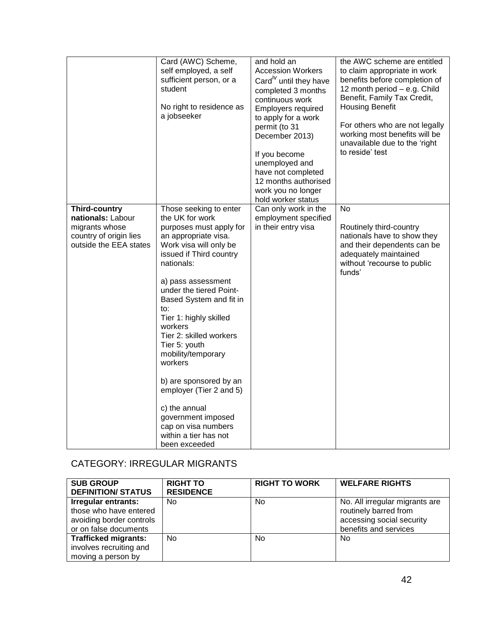|                                                                                                                 | Card (AWC) Scheme,<br>self employed, a self<br>sufficient person, or a<br>student<br>No right to residence as<br>a jobseeker                                                                                                                                                                                                                                                                                                                                                                                                      | and hold an<br><b>Accession Workers</b><br>Card <sup>iv</sup> until they have<br>completed 3 months<br>continuous work<br><b>Employers required</b><br>to apply for a work<br>permit (to 31<br>December 2013)<br>If you become<br>unemployed and<br>have not completed<br>12 months authorised<br>work you no longer<br>hold worker status | the AWC scheme are entitled<br>to claim appropriate in work<br>benefits before completion of<br>12 month period - e.g. Child<br>Benefit, Family Tax Credit,<br><b>Housing Benefit</b><br>For others who are not legally<br>working most benefits will be<br>unavailable due to the 'right<br>to reside' test |
|-----------------------------------------------------------------------------------------------------------------|-----------------------------------------------------------------------------------------------------------------------------------------------------------------------------------------------------------------------------------------------------------------------------------------------------------------------------------------------------------------------------------------------------------------------------------------------------------------------------------------------------------------------------------|--------------------------------------------------------------------------------------------------------------------------------------------------------------------------------------------------------------------------------------------------------------------------------------------------------------------------------------------|--------------------------------------------------------------------------------------------------------------------------------------------------------------------------------------------------------------------------------------------------------------------------------------------------------------|
| <b>Third-country</b><br>nationals: Labour<br>migrants whose<br>country of origin lies<br>outside the EEA states | Those seeking to enter<br>the UK for work<br>purposes must apply for<br>an appropriate visa.<br>Work visa will only be<br>issued if Third country<br>nationals:<br>a) pass assessment<br>under the tiered Point-<br>Based System and fit in<br>to:<br>Tier 1: highly skilled<br>workers<br>Tier 2: skilled workers<br>Tier 5: youth<br>mobility/temporary<br>workers<br>b) are sponsored by an<br>employer (Tier 2 and 5)<br>c) the annual<br>government imposed<br>cap on visa numbers<br>within a tier has not<br>been exceeded | Can only work in the<br>employment specified<br>in their entry visa                                                                                                                                                                                                                                                                        | No<br>Routinely third-country<br>nationals have to show they<br>and their dependents can be<br>adequately maintained<br>without 'recourse to public<br>funds'                                                                                                                                                |

#### CATEGORY: IRREGULAR MIGRANTS

| <b>SUB GROUP</b><br><b>DEFINITION/ STATUS</b>                                                      | <b>RIGHT TO</b><br><b>RESIDENCE</b> | <b>RIGHT TO WORK</b> | <b>WELFARE RIGHTS</b>                                                                                         |
|----------------------------------------------------------------------------------------------------|-------------------------------------|----------------------|---------------------------------------------------------------------------------------------------------------|
| Irregular entrants:<br>those who have entered<br>avoiding border controls<br>or on false documents | No.                                 | No.                  | No. All irregular migrants are<br>routinely barred from<br>accessing social security<br>benefits and services |
| <b>Trafficked migrants:</b><br>involves recruiting and<br>moving a person by                       | No.                                 | No.                  | No                                                                                                            |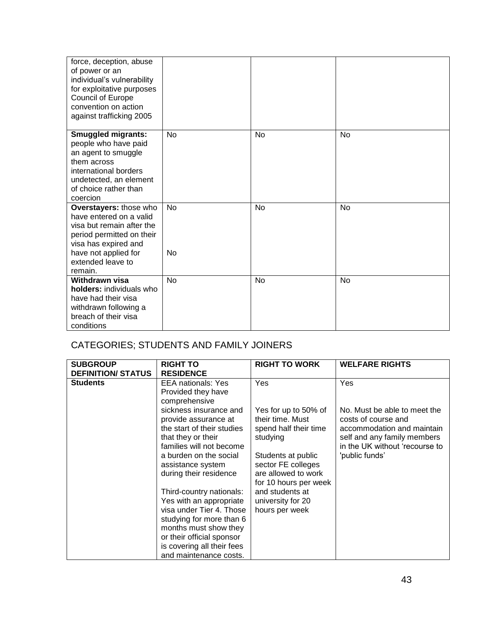| force, deception, abuse<br>of power or an<br>individual's vulnerability<br>for exploitative purposes<br><b>Council of Europe</b><br>convention on action<br>against trafficking 2005 |    |           |    |
|--------------------------------------------------------------------------------------------------------------------------------------------------------------------------------------|----|-----------|----|
| <b>Smuggled migrants:</b><br>people who have paid<br>an agent to smuggle<br>them across<br>international borders<br>undetected, an element<br>of choice rather than<br>coercion      | No | No        | No |
| Overstayers: those who<br>have entered on a valid<br>visa but remain after the<br>period permitted on their<br>visa has expired and                                                  | No | <b>No</b> | No |
| have not applied for<br>extended leave to<br>remain.                                                                                                                                 | No |           |    |
| Withdrawn visa<br>holders: individuals who<br>have had their visa<br>withdrawn following a<br>breach of their visa<br>conditions                                                     | No | <b>No</b> | No |

### CATEGORIES; STUDENTS AND FAMILY JOINERS

| <b>SUBGROUP</b><br><b>DEFINITION/ STATUS</b> | <b>RIGHT TO</b><br><b>RESIDENCE</b>                                                                                                                                                                                                                                         | <b>RIGHT TO WORK</b>                                                                                                                                                             | <b>WELFARE RIGHTS</b>                                                                                                                                                       |
|----------------------------------------------|-----------------------------------------------------------------------------------------------------------------------------------------------------------------------------------------------------------------------------------------------------------------------------|----------------------------------------------------------------------------------------------------------------------------------------------------------------------------------|-----------------------------------------------------------------------------------------------------------------------------------------------------------------------------|
| <b>Students</b>                              | <b>EEA</b> nationals: Yes<br>Provided they have<br>comprehensive<br>sickness insurance and<br>provide assurance at<br>the start of their studies<br>that they or their<br>families will not become<br>a burden on the social<br>assistance system<br>during their residence | Yes<br>Yes for up to 50% of<br>their time. Must<br>spend half their time<br>studying<br>Students at public<br>sector FE colleges<br>are allowed to work<br>for 10 hours per week | Yes<br>No. Must be able to meet the<br>costs of course and<br>accommodation and maintain<br>self and any family members<br>in the UK without 'recourse to<br>'public funds' |
|                                              | Third-country nationals:<br>Yes with an appropriate<br>visa under Tier 4. Those<br>studying for more than 6<br>months must show they<br>or their official sponsor<br>is covering all their fees<br>and maintenance costs.                                                   | and students at<br>university for 20<br>hours per week                                                                                                                           |                                                                                                                                                                             |